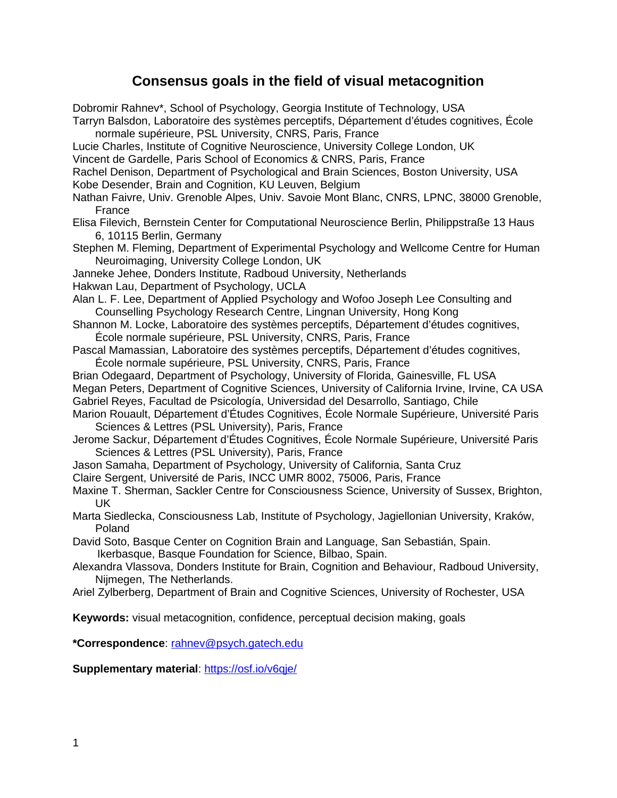# **Consensus goals in the field of visual metacognition**

| Dobromir Rahnev*, School of Psychology, Georgia Institute of Technology, USA                    |
|-------------------------------------------------------------------------------------------------|
| Tarryn Balsdon, Laboratoire des systèmes perceptifs, Département d'études cognitives, École     |
| normale supérieure, PSL University, CNRS, Paris, France                                         |
| Lucie Charles, Institute of Cognitive Neuroscience, University College London, UK               |
| Vincent de Gardelle, Paris School of Economics & CNRS, Paris, France                            |
| Rachel Denison, Department of Psychological and Brain Sciences, Boston University, USA          |
| Kobe Desender, Brain and Cognition, KU Leuven, Belgium                                          |
|                                                                                                 |
| Nathan Faivre, Univ. Grenoble Alpes, Univ. Savoie Mont Blanc, CNRS, LPNC, 38000 Grenoble,       |
| France                                                                                          |
| Elisa Filevich, Bernstein Center for Computational Neuroscience Berlin, Philippstraße 13 Haus   |
| 6, 10115 Berlin, Germany                                                                        |
| Stephen M. Fleming, Department of Experimental Psychology and Wellcome Centre for Human         |
| Neuroimaging, University College London, UK                                                     |
| Janneke Jehee, Donders Institute, Radboud University, Netherlands                               |
| Hakwan Lau, Department of Psychology, UCLA                                                      |
| Alan L. F. Lee, Department of Applied Psychology and Wofoo Joseph Lee Consulting and            |
| Counselling Psychology Research Centre, Lingnan University, Hong Kong                           |
| Shannon M. Locke, Laboratoire des systèmes perceptifs, Département d'études cognitives,         |
| École normale supérieure, PSL University, CNRS, Paris, France                                   |
| Pascal Mamassian, Laboratoire des systèmes perceptifs, Département d'études cognitives,         |
| École normale supérieure, PSL University, CNRS, Paris, France                                   |
| Brian Odegaard, Department of Psychology, University of Florida, Gainesville, FL USA            |
| Megan Peters, Department of Cognitive Sciences, University of California Irvine, Irvine, CA USA |
| Gabriel Reyes, Facultad de Psicología, Universidad del Desarrollo, Santiago, Chile              |
| Marion Rouault, Département d'Études Cognitives, École Normale Supérieure, Université Paris     |
| Sciences & Lettres (PSL University), Paris, France                                              |
| Jerome Sackur, Département d'Études Cognitives, École Normale Supérieure, Université Paris      |
|                                                                                                 |
| Sciences & Lettres (PSL University), Paris, France                                              |
| Jason Samaha, Department of Psychology, University of California, Santa Cruz                    |
| Claire Sergent, Université de Paris, INCC UMR 8002, 75006, Paris, France                        |
| Maxine T. Sherman, Sackler Centre for Consciousness Science, University of Sussex, Brighton,    |
| <b>UK</b>                                                                                       |
| Marta Siedlecka, Consciousness Lab, Institute of Psychology, Jagiellonian University, Kraków,   |
| Poland                                                                                          |
| David Soto, Basque Center on Cognition Brain and Language, San Sebastián, Spain.                |
| Ikerbasque, Basque Foundation for Science, Bilbao, Spain.                                       |
| Alexandra Vlassova, Donders Institute for Brain, Cognition and Behaviour, Radboud University,   |
| Nijmegen, The Netherlands.                                                                      |
| Ariel Zylberberg, Department of Brain and Cognitive Sciences, University of Rochester, USA      |
|                                                                                                 |
| Keywords: visual metacognition, confidence, perceptual decision making, goals                   |
|                                                                                                 |
| *Correspondence: rahnev@psych.gatech.edu                                                        |
|                                                                                                 |
| Supplementary material: https://osf.io/v6qje/                                                   |
|                                                                                                 |
|                                                                                                 |
|                                                                                                 |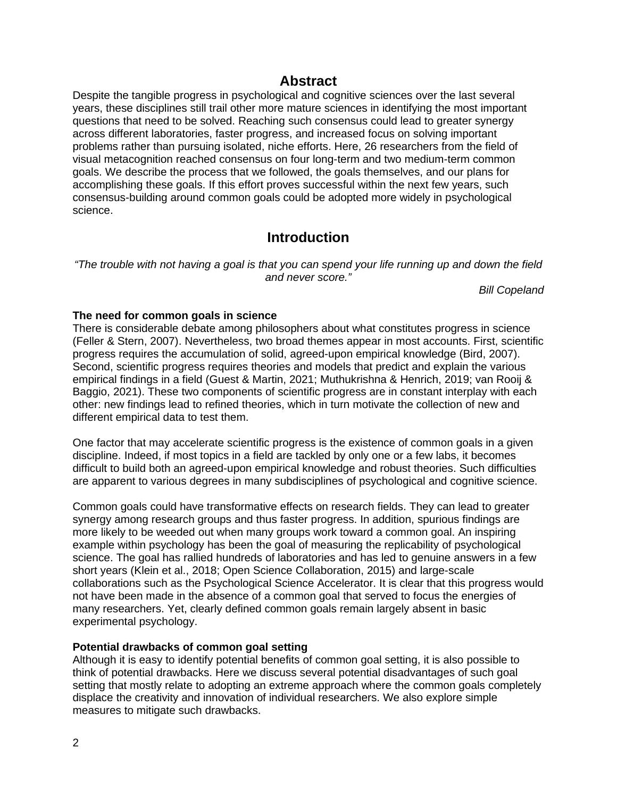### **Abstract**

Despite the tangible progress in psychological and cognitive sciences over the last several years, these disciplines still trail other more mature sciences in identifying the most important questions that need to be solved. Reaching such consensus could lead to greater synergy across different laboratories, faster progress, and increased focus on solving important problems rather than pursuing isolated, niche efforts. Here, 26 researchers from the field of visual metacognition reached consensus on four long-term and two medium-term common goals. We describe the process that we followed, the goals themselves, and our plans for accomplishing these goals. If this effort proves successful within the next few years, such consensus-building around common goals could be adopted more widely in psychological science.

# **Introduction**

*"The trouble with not having a goal is that you can spend your life running up and down the field and never score."*

*Bill Copeland*

#### **The need for common goals in science**

There is considerable debate among philosophers about what constitutes progress in science (Feller & Stern, 2007). Nevertheless, two broad themes appear in most accounts. First, scientific progress requires the accumulation of solid, agreed-upon empirical knowledge (Bird, 2007). Second, scientific progress requires theories and models that predict and explain the various empirical findings in a field (Guest & Martin, 2021; Muthukrishna & Henrich, 2019; van Rooij & Baggio, 2021). These two components of scientific progress are in constant interplay with each other: new findings lead to refined theories, which in turn motivate the collection of new and different empirical data to test them.

One factor that may accelerate scientific progress is the existence of common goals in a given discipline. Indeed, if most topics in a field are tackled by only one or a few labs, it becomes difficult to build both an agreed-upon empirical knowledge and robust theories. Such difficulties are apparent to various degrees in many subdisciplines of psychological and cognitive science.

Common goals could have transformative effects on research fields. They can lead to greater synergy among research groups and thus faster progress. In addition, spurious findings are more likely to be weeded out when many groups work toward a common goal. An inspiring example within psychology has been the goal of measuring the replicability of psychological science. The goal has rallied hundreds of laboratories and has led to genuine answers in a few short years (Klein et al., 2018; Open Science Collaboration, 2015) and large-scale collaborations such as the Psychological Science Accelerator. It is clear that this progress would not have been made in the absence of a common goal that served to focus the energies of many researchers. Yet, clearly defined common goals remain largely absent in basic experimental psychology.

#### **Potential drawbacks of common goal setting**

Although it is easy to identify potential benefits of common goal setting, it is also possible to think of potential drawbacks. Here we discuss several potential disadvantages of such goal setting that mostly relate to adopting an extreme approach where the common goals completely displace the creativity and innovation of individual researchers. We also explore simple measures to mitigate such drawbacks.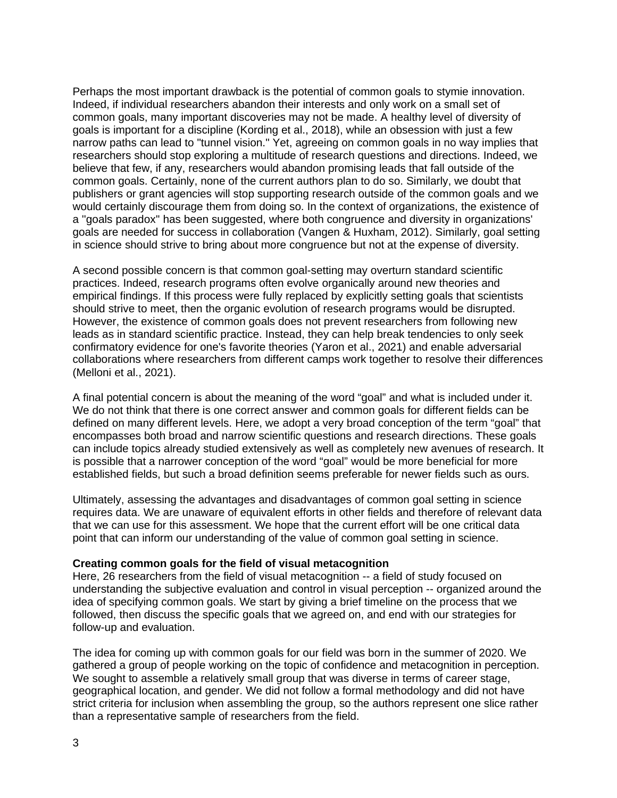Perhaps the most important drawback is the potential of common goals to stymie innovation. Indeed, if individual researchers abandon their interests and only work on a small set of common goals, many important discoveries may not be made. A healthy level of diversity of goals is important for a discipline (Kording et al., 2018), while an obsession with just a few narrow paths can lead to "tunnel vision." Yet, agreeing on common goals in no way implies that researchers should stop exploring a multitude of research questions and directions. Indeed, we believe that few, if any, researchers would abandon promising leads that fall outside of the common goals. Certainly, none of the current authors plan to do so. Similarly, we doubt that publishers or grant agencies will stop supporting research outside of the common goals and we would certainly discourage them from doing so. In the context of organizations, the existence of a ''goals paradox'' has been suggested, where both congruence and diversity in organizations' goals are needed for success in collaboration (Vangen & Huxham, 2012). Similarly, goal setting in science should strive to bring about more congruence but not at the expense of diversity.

A second possible concern is that common goal-setting may overturn standard scientific practices. Indeed, research programs often evolve organically around new theories and empirical findings. If this process were fully replaced by explicitly setting goals that scientists should strive to meet, then the organic evolution of research programs would be disrupted. However, the existence of common goals does not prevent researchers from following new leads as in standard scientific practice. Instead, they can help break tendencies to only seek confirmatory evidence for one's favorite theories (Yaron et al., 2021) and enable adversarial collaborations where researchers from different camps work together to resolve their differences (Melloni et al., 2021).

A final potential concern is about the meaning of the word "goal" and what is included under it. We do not think that there is one correct answer and common goals for different fields can be defined on many different levels. Here, we adopt a very broad conception of the term "goal" that encompasses both broad and narrow scientific questions and research directions. These goals can include topics already studied extensively as well as completely new avenues of research. It is possible that a narrower conception of the word "goal" would be more beneficial for more established fields, but such a broad definition seems preferable for newer fields such as ours.

Ultimately, assessing the advantages and disadvantages of common goal setting in science requires data. We are unaware of equivalent efforts in other fields and therefore of relevant data that we can use for this assessment. We hope that the current effort will be one critical data point that can inform our understanding of the value of common goal setting in science.

#### **Creating common goals for the field of visual metacognition**

Here, 26 researchers from the field of visual metacognition -- a field of study focused on understanding the subjective evaluation and control in visual perception -- organized around the idea of specifying common goals. We start by giving a brief timeline on the process that we followed, then discuss the specific goals that we agreed on, and end with our strategies for follow-up and evaluation.

The idea for coming up with common goals for our field was born in the summer of 2020. We gathered a group of people working on the topic of confidence and metacognition in perception. We sought to assemble a relatively small group that was diverse in terms of career stage, geographical location, and gender. We did not follow a formal methodology and did not have strict criteria for inclusion when assembling the group, so the authors represent one slice rather than a representative sample of researchers from the field.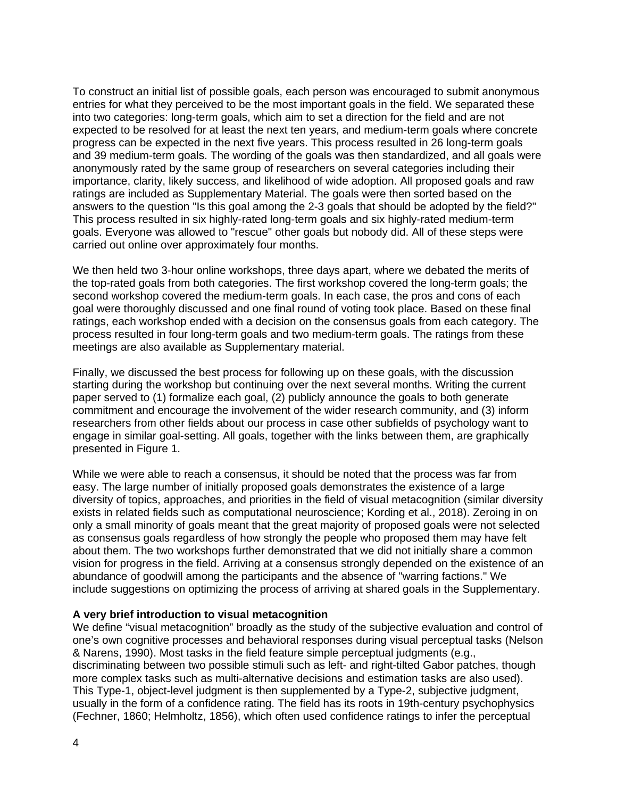To construct an initial list of possible goals, each person was encouraged to submit anonymous entries for what they perceived to be the most important goals in the field. We separated these into two categories: long-term goals, which aim to set a direction for the field and are not expected to be resolved for at least the next ten years, and medium-term goals where concrete progress can be expected in the next five years. This process resulted in 26 long-term goals and 39 medium-term goals. The wording of the goals was then standardized, and all goals were anonymously rated by the same group of researchers on several categories including their importance, clarity, likely success, and likelihood of wide adoption. All proposed goals and raw ratings are included as Supplementary Material. The goals were then sorted based on the answers to the question "Is this goal among the 2-3 goals that should be adopted by the field?" This process resulted in six highly-rated long-term goals and six highly-rated medium-term goals. Everyone was allowed to "rescue" other goals but nobody did. All of these steps were carried out online over approximately four months.

We then held two 3-hour online workshops, three days apart, where we debated the merits of the top-rated goals from both categories. The first workshop covered the long-term goals; the second workshop covered the medium-term goals. In each case, the pros and cons of each goal were thoroughly discussed and one final round of voting took place. Based on these final ratings, each workshop ended with a decision on the consensus goals from each category. The process resulted in four long-term goals and two medium-term goals. The ratings from these meetings are also available as Supplementary material.

Finally, we discussed the best process for following up on these goals, with the discussion starting during the workshop but continuing over the next several months. Writing the current paper served to (1) formalize each goal, (2) publicly announce the goals to both generate commitment and encourage the involvement of the wider research community, and (3) inform researchers from other fields about our process in case other subfields of psychology want to engage in similar goal-setting. All goals, together with the links between them, are graphically presented in Figure 1.

While we were able to reach a consensus, it should be noted that the process was far from easy. The large number of initially proposed goals demonstrates the existence of a large diversity of topics, approaches, and priorities in the field of visual metacognition (similar diversity exists in related fields such as computational neuroscience; Kording et al., 2018). Zeroing in on only a small minority of goals meant that the great majority of proposed goals were not selected as consensus goals regardless of how strongly the people who proposed them may have felt about them. The two workshops further demonstrated that we did not initially share a common vision for progress in the field. Arriving at a consensus strongly depended on the existence of an abundance of goodwill among the participants and the absence of "warring factions." We include suggestions on optimizing the process of arriving at shared goals in the Supplementary.

#### **A very brief introduction to visual metacognition**

We define "visual metacognition" broadly as the study of the subjective evaluation and control of one's own cognitive processes and behavioral responses during visual perceptual tasks (Nelson & Narens, 1990). Most tasks in the field feature simple perceptual judgments (e.g., discriminating between two possible stimuli such as left- and right-tilted Gabor patches, though more complex tasks such as multi-alternative decisions and estimation tasks are also used). This Type-1, object-level judgment is then supplemented by a Type-2, subjective judgment, usually in the form of a confidence rating. The field has its roots in 19th-century psychophysics (Fechner, 1860; Helmholtz, 1856), which often used confidence ratings to infer the perceptual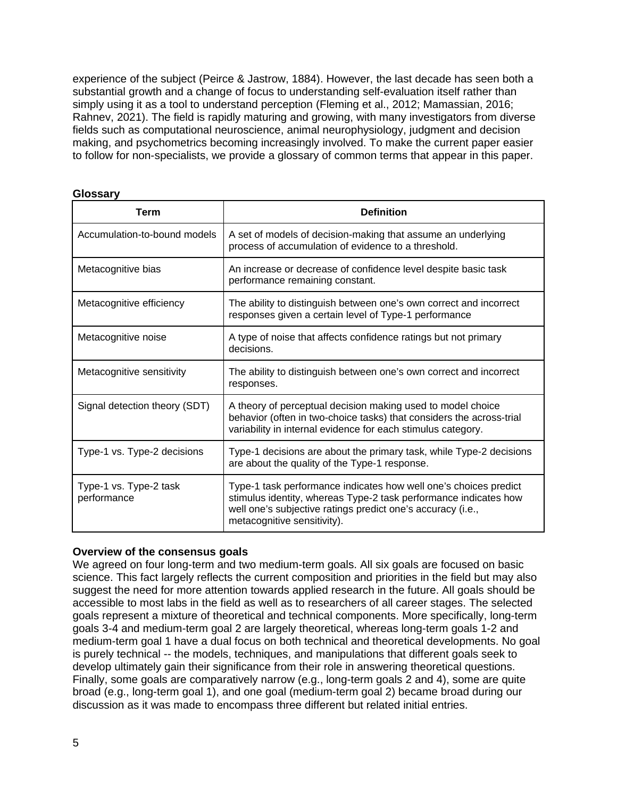experience of the subject (Peirce & Jastrow, 1884). However, the last decade has seen both a substantial growth and a change of focus to understanding self-evaluation itself rather than simply using it as a tool to understand perception (Fleming et al., 2012; Mamassian, 2016; Rahnev, 2021). The field is rapidly maturing and growing, with many investigators from diverse fields such as computational neuroscience, animal neurophysiology, judgment and decision making, and psychometrics becoming increasingly involved. To make the current paper easier to follow for non-specialists, we provide a glossary of common terms that appear in this paper.

#### **Glossary**

| <b>Term</b>                           | <b>Definition</b>                                                                                                                                                                                                                  |
|---------------------------------------|------------------------------------------------------------------------------------------------------------------------------------------------------------------------------------------------------------------------------------|
| Accumulation-to-bound models          | A set of models of decision-making that assume an underlying<br>process of accumulation of evidence to a threshold.                                                                                                                |
| Metacognitive bias                    | An increase or decrease of confidence level despite basic task<br>performance remaining constant.                                                                                                                                  |
| Metacognitive efficiency              | The ability to distinguish between one's own correct and incorrect<br>responses given a certain level of Type-1 performance                                                                                                        |
| Metacognitive noise                   | A type of noise that affects confidence ratings but not primary<br>decisions.                                                                                                                                                      |
| Metacognitive sensitivity             | The ability to distinguish between one's own correct and incorrect<br>responses.                                                                                                                                                   |
| Signal detection theory (SDT)         | A theory of perceptual decision making used to model choice<br>behavior (often in two-choice tasks) that considers the across-trial<br>variability in internal evidence for each stimulus category.                                |
| Type-1 vs. Type-2 decisions           | Type-1 decisions are about the primary task, while Type-2 decisions<br>are about the quality of the Type-1 response.                                                                                                               |
| Type-1 vs. Type-2 task<br>performance | Type-1 task performance indicates how well one's choices predict<br>stimulus identity, whereas Type-2 task performance indicates how<br>well one's subjective ratings predict one's accuracy (i.e.,<br>metacognitive sensitivity). |

#### **Overview of the consensus goals**

We agreed on four long-term and two medium-term goals. All six goals are focused on basic science. This fact largely reflects the current composition and priorities in the field but may also suggest the need for more attention towards applied research in the future. All goals should be accessible to most labs in the field as well as to researchers of all career stages. The selected goals represent a mixture of theoretical and technical components. More specifically, long-term goals 3-4 and medium-term goal 2 are largely theoretical, whereas long-term goals 1-2 and medium-term goal 1 have a dual focus on both technical and theoretical developments. No goal is purely technical -- the models, techniques, and manipulations that different goals seek to develop ultimately gain their significance from their role in answering theoretical questions. Finally, some goals are comparatively narrow (e.g., long-term goals 2 and 4), some are quite broad (e.g., long-term goal 1), and one goal (medium-term goal 2) became broad during our discussion as it was made to encompass three different but related initial entries.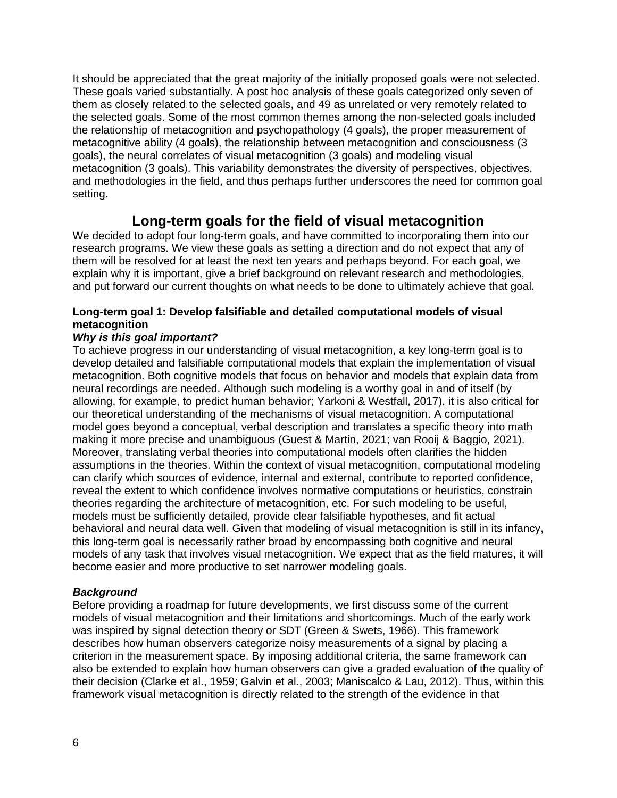It should be appreciated that the great majority of the initially proposed goals were not selected. These goals varied substantially. A post hoc analysis of these goals categorized only seven of them as closely related to the selected goals, and 49 as unrelated or very remotely related to the selected goals. Some of the most common themes among the non-selected goals included the relationship of metacognition and psychopathology (4 goals), the proper measurement of metacognitive ability (4 goals), the relationship between metacognition and consciousness (3 goals), the neural correlates of visual metacognition (3 goals) and modeling visual metacognition (3 goals). This variability demonstrates the diversity of perspectives, objectives, and methodologies in the field, and thus perhaps further underscores the need for common goal setting.

# **Long-term goals for the field of visual metacognition**

We decided to adopt four long-term goals, and have committed to incorporating them into our research programs. We view these goals as setting a direction and do not expect that any of them will be resolved for at least the next ten years and perhaps beyond. For each goal, we explain why it is important, give a brief background on relevant research and methodologies, and put forward our current thoughts on what needs to be done to ultimately achieve that goal.

#### **Long-term goal 1: Develop falsifiable and detailed computational models of visual metacognition**

#### *Why is this goal important?*

To achieve progress in our understanding of visual metacognition, a key long-term goal is to develop detailed and falsifiable computational models that explain the implementation of visual metacognition. Both cognitive models that focus on behavior and models that explain data from neural recordings are needed. Although such modeling is a worthy goal in and of itself (by allowing, for example, to predict human behavior; Yarkoni & Westfall, 2017), it is also critical for our theoretical understanding of the mechanisms of visual metacognition. A computational model goes beyond a conceptual, verbal description and translates a specific theory into math making it more precise and unambiguous (Guest & Martin, 2021; van Rooij & Baggio, 2021). Moreover, translating verbal theories into computational models often clarifies the hidden assumptions in the theories. Within the context of visual metacognition, computational modeling can clarify which sources of evidence, internal and external, contribute to reported confidence, reveal the extent to which confidence involves normative computations or heuristics, constrain theories regarding the architecture of metacognition, etc. For such modeling to be useful, models must be sufficiently detailed, provide clear falsifiable hypotheses, and fit actual behavioral and neural data well. Given that modeling of visual metacognition is still in its infancy, this long-term goal is necessarily rather broad by encompassing both cognitive and neural models of any task that involves visual metacognition. We expect that as the field matures, it will become easier and more productive to set narrower modeling goals.

#### *Background*

Before providing a roadmap for future developments, we first discuss some of the current models of visual metacognition and their limitations and shortcomings. Much of the early work was inspired by signal detection theory or SDT (Green & Swets, 1966). This framework describes how human observers categorize noisy measurements of a signal by placing a criterion in the measurement space. By imposing additional criteria, the same framework can also be extended to explain how human observers can give a graded evaluation of the quality of their decision (Clarke et al., 1959; Galvin et al., 2003; Maniscalco & Lau, 2012). Thus, within this framework visual metacognition is directly related to the strength of the evidence in that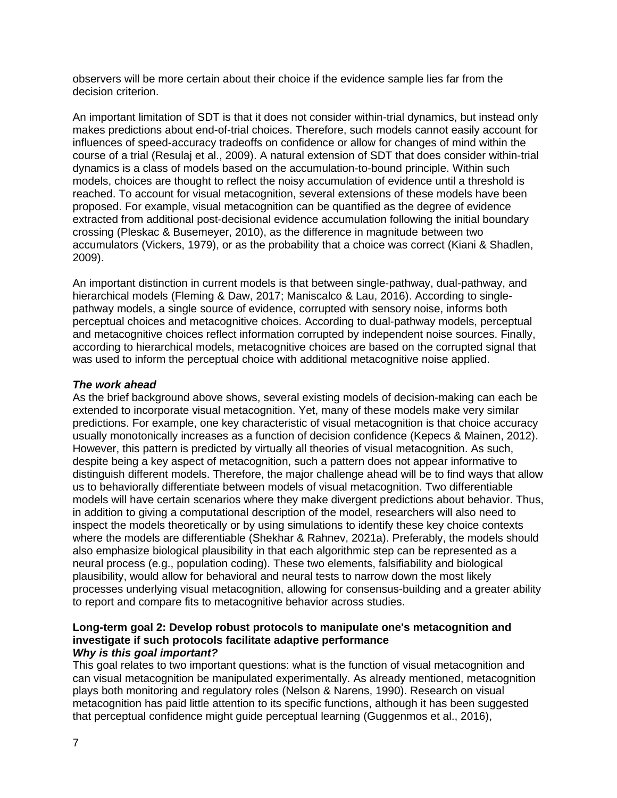observers will be more certain about their choice if the evidence sample lies far from the decision criterion.

An important limitation of SDT is that it does not consider within-trial dynamics, but instead only makes predictions about end-of-trial choices. Therefore, such models cannot easily account for influences of speed-accuracy tradeoffs on confidence or allow for changes of mind within the course of a trial (Resulaj et al., 2009). A natural extension of SDT that does consider within-trial dynamics is a class of models based on the accumulation-to-bound principle. Within such models, choices are thought to reflect the noisy accumulation of evidence until a threshold is reached. To account for visual metacognition, several extensions of these models have been proposed. For example, visual metacognition can be quantified as the degree of evidence extracted from additional post-decisional evidence accumulation following the initial boundary crossing (Pleskac & Busemeyer, 2010), as the difference in magnitude between two accumulators (Vickers, 1979), or as the probability that a choice was correct (Kiani & Shadlen, 2009).

An important distinction in current models is that between single-pathway, dual-pathway, and hierarchical models (Fleming & Daw, 2017; Maniscalco & Lau, 2016). According to singlepathway models, a single source of evidence, corrupted with sensory noise, informs both perceptual choices and metacognitive choices. According to dual-pathway models, perceptual and metacognitive choices reflect information corrupted by independent noise sources. Finally, according to hierarchical models, metacognitive choices are based on the corrupted signal that was used to inform the perceptual choice with additional metacognitive noise applied.

#### *The work ahead*

As the brief background above shows, several existing models of decision-making can each be extended to incorporate visual metacognition. Yet, many of these models make very similar predictions. For example, one key characteristic of visual metacognition is that choice accuracy usually monotonically increases as a function of decision confidence (Kepecs & Mainen, 2012). However, this pattern is predicted by virtually all theories of visual metacognition. As such, despite being a key aspect of metacognition, such a pattern does not appear informative to distinguish different models. Therefore, the major challenge ahead will be to find ways that allow us to behaviorally differentiate between models of visual metacognition. Two differentiable models will have certain scenarios where they make divergent predictions about behavior. Thus, in addition to giving a computational description of the model, researchers will also need to inspect the models theoretically or by using simulations to identify these key choice contexts where the models are differentiable (Shekhar & Rahnev, 2021a). Preferably, the models should also emphasize biological plausibility in that each algorithmic step can be represented as a neural process (e.g., population coding). These two elements, falsifiability and biological plausibility, would allow for behavioral and neural tests to narrow down the most likely processes underlying visual metacognition, allowing for consensus-building and a greater ability to report and compare fits to metacognitive behavior across studies.

#### **Long-term goal 2: Develop robust protocols to manipulate one's metacognition and investigate if such protocols facilitate adaptive performance** *Why is this goal important?*

This goal relates to two important questions: what is the function of visual metacognition and can visual metacognition be manipulated experimentally. As already mentioned, metacognition plays both monitoring and regulatory roles (Nelson & Narens, 1990). Research on visual metacognition has paid little attention to its specific functions, although it has been suggested that perceptual confidence might guide perceptual learning (Guggenmos et al., 2016),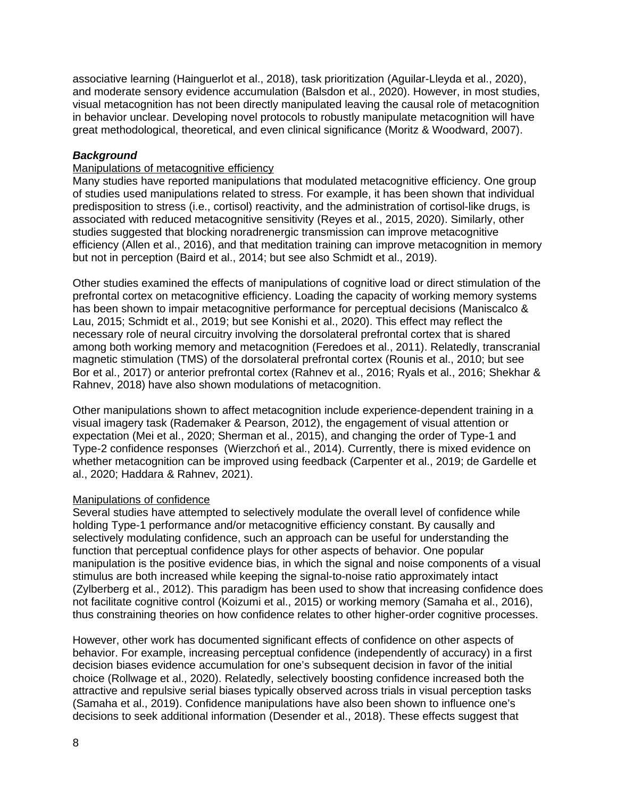associative learning (Hainguerlot et al., 2018), task prioritization (Aguilar-Lleyda et al., 2020), and moderate sensory evidence accumulation (Balsdon et al., 2020). However, in most studies, visual metacognition has not been directly manipulated leaving the causal role of metacognition in behavior unclear. Developing novel protocols to robustly manipulate metacognition will have great methodological, theoretical, and even clinical significance (Moritz & Woodward, 2007).

#### *Background*

#### Manipulations of metacognitive efficiency

Many studies have reported manipulations that modulated metacognitive efficiency. One group of studies used manipulations related to stress. For example, it has been shown that individual predisposition to stress (i.e., cortisol) reactivity, and the administration of cortisol-like drugs, is associated with reduced metacognitive sensitivity (Reyes et al., 2015, 2020). Similarly, other studies suggested that blocking noradrenergic transmission can improve metacognitive efficiency (Allen et al., 2016), and that meditation training can improve metacognition in memory but not in perception (Baird et al., 2014; but see also Schmidt et al., 2019).

Other studies examined the effects of manipulations of cognitive load or direct stimulation of the prefrontal cortex on metacognitive efficiency. Loading the capacity of working memory systems has been shown to impair metacognitive performance for perceptual decisions (Maniscalco & Lau, 2015; Schmidt et al., 2019; but see Konishi et al., 2020). This effect may reflect the necessary role of neural circuitry involving the dorsolateral prefrontal cortex that is shared among both working memory and metacognition (Feredoes et al., 2011). Relatedly, transcranial magnetic stimulation (TMS) of the dorsolateral prefrontal cortex (Rounis et al., 2010; but see Bor et al., 2017) or anterior prefrontal cortex (Rahnev et al., 2016; Ryals et al., 2016; Shekhar & Rahnev, 2018) have also shown modulations of metacognition.

Other manipulations shown to affect metacognition include experience-dependent training in a visual imagery task (Rademaker & Pearson, 2012), the engagement of visual attention or expectation (Mei et al., 2020; Sherman et al., 2015), and changing the order of Type-1 and Type-2 confidence responses (Wierzchoń et al., 2014). Currently, there is mixed evidence on whether metacognition can be improved using feedback (Carpenter et al., 2019; de Gardelle et al., 2020; Haddara & Rahnev, 2021).

#### Manipulations of confidence

Several studies have attempted to selectively modulate the overall level of confidence while holding Type-1 performance and/or metacognitive efficiency constant. By causally and selectively modulating confidence, such an approach can be useful for understanding the function that perceptual confidence plays for other aspects of behavior. One popular manipulation is the positive evidence bias, in which the signal and noise components of a visual stimulus are both increased while keeping the signal-to-noise ratio approximately intact (Zylberberg et al., 2012). This paradigm has been used to show that increasing confidence does not facilitate cognitive control (Koizumi et al., 2015) or working memory (Samaha et al., 2016), thus constraining theories on how confidence relates to other higher-order cognitive processes.

However, other work has documented significant effects of confidence on other aspects of behavior. For example, increasing perceptual confidence (independently of accuracy) in a first decision biases evidence accumulation for one's subsequent decision in favor of the initial choice (Rollwage et al., 2020). Relatedly, selectively boosting confidence increased both the attractive and repulsive serial biases typically observed across trials in visual perception tasks (Samaha et al., 2019). Confidence manipulations have also been shown to influence one's decisions to seek additional information (Desender et al., 2018). These effects suggest that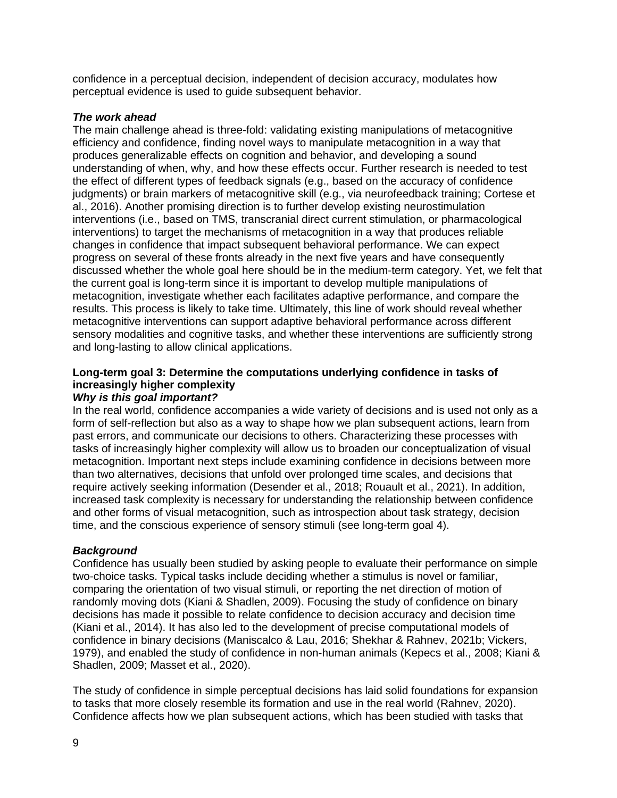confidence in a perceptual decision, independent of decision accuracy, modulates how perceptual evidence is used to guide subsequent behavior.

#### *The work ahead*

The main challenge ahead is three-fold: validating existing manipulations of metacognitive efficiency and confidence, finding novel ways to manipulate metacognition in a way that produces generalizable effects on cognition and behavior, and developing a sound understanding of when, why, and how these effects occur. Further research is needed to test the effect of different types of feedback signals (e.g., based on the accuracy of confidence judgments) or brain markers of metacognitive skill (e.g., via neurofeedback training; Cortese et al., 2016). Another promising direction is to further develop existing neurostimulation interventions (i.e., based on TMS, transcranial direct current stimulation, or pharmacological interventions) to target the mechanisms of metacognition in a way that produces reliable changes in confidence that impact subsequent behavioral performance. We can expect progress on several of these fronts already in the next five years and have consequently discussed whether the whole goal here should be in the medium-term category. Yet, we felt that the current goal is long-term since it is important to develop multiple manipulations of metacognition, investigate whether each facilitates adaptive performance, and compare the results. This process is likely to take time. Ultimately, this line of work should reveal whether metacognitive interventions can support adaptive behavioral performance across different sensory modalities and cognitive tasks, and whether these interventions are sufficiently strong and long-lasting to allow clinical applications.

# **Long-term goal 3: Determine the computations underlying confidence in tasks of increasingly higher complexity**

#### *Why is this goal important?*

In the real world, confidence accompanies a wide variety of decisions and is used not only as a form of self-reflection but also as a way to shape how we plan subsequent actions, learn from past errors, and communicate our decisions to others. Characterizing these processes with tasks of increasingly higher complexity will allow us to broaden our conceptualization of visual metacognition. Important next steps include examining confidence in decisions between more than two alternatives, decisions that unfold over prolonged time scales, and decisions that require actively seeking information (Desender et al., 2018; Rouault et al., 2021). In addition, increased task complexity is necessary for understanding the relationship between confidence and other forms of visual metacognition, such as introspection about task strategy, decision time, and the conscious experience of sensory stimuli (see long-term goal 4).

#### *Background*

Confidence has usually been studied by asking people to evaluate their performance on simple two-choice tasks. Typical tasks include deciding whether a stimulus is novel or familiar, comparing the orientation of two visual stimuli, or reporting the net direction of motion of randomly moving dots (Kiani & Shadlen, 2009). Focusing the study of confidence on binary decisions has made it possible to relate confidence to decision accuracy and decision time (Kiani et al., 2014). It has also led to the development of precise computational models of confidence in binary decisions (Maniscalco & Lau, 2016; Shekhar & Rahnev, 2021b; Vickers, 1979), and enabled the study of confidence in non-human animals (Kepecs et al., 2008; Kiani & Shadlen, 2009; Masset et al., 2020).

The study of confidence in simple perceptual decisions has laid solid foundations for expansion to tasks that more closely resemble its formation and use in the real world (Rahnev, 2020). Confidence affects how we plan subsequent actions, which has been studied with tasks that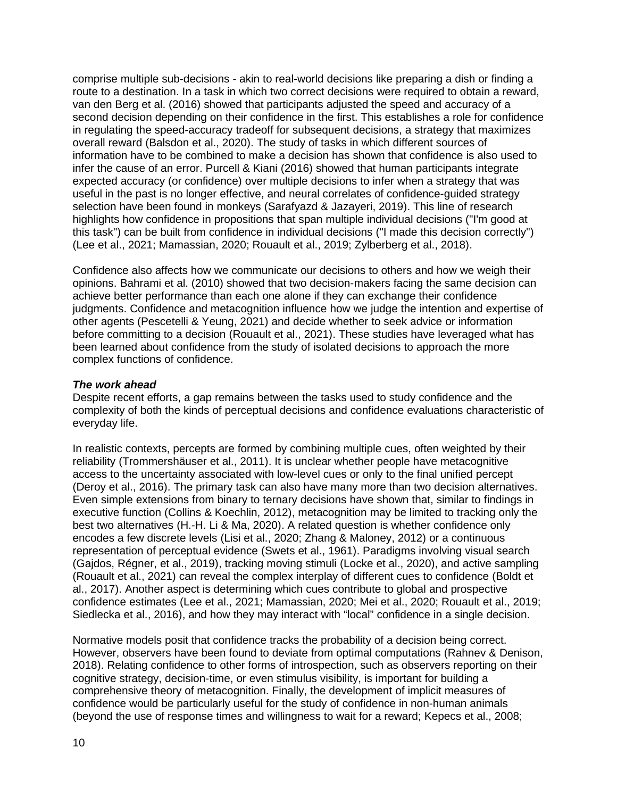comprise multiple sub-decisions - akin to real-world decisions like preparing a dish or finding a route to a destination. In a task in which two correct decisions were required to obtain a reward, van den Berg et al. (2016) showed that participants adjusted the speed and accuracy of a second decision depending on their confidence in the first. This establishes a role for confidence in regulating the speed-accuracy tradeoff for subsequent decisions, a strategy that maximizes overall reward (Balsdon et al., 2020). The study of tasks in which different sources of information have to be combined to make a decision has shown that confidence is also used to infer the cause of an error. Purcell & Kiani (2016) showed that human participants integrate expected accuracy (or confidence) over multiple decisions to infer when a strategy that was useful in the past is no longer effective, and neural correlates of confidence-guided strategy selection have been found in monkeys (Sarafyazd & Jazayeri, 2019). This line of research highlights how confidence in propositions that span multiple individual decisions ("I'm good at this task") can be built from confidence in individual decisions ("I made this decision correctly") (Lee et al., 2021; Mamassian, 2020; Rouault et al., 2019; Zylberberg et al., 2018).

Confidence also affects how we communicate our decisions to others and how we weigh their opinions. Bahrami et al. (2010) showed that two decision-makers facing the same decision can achieve better performance than each one alone if they can exchange their confidence judgments. Confidence and metacognition influence how we judge the intention and expertise of other agents (Pescetelli & Yeung, 2021) and decide whether to seek advice or information before committing to a decision (Rouault et al., 2021). These studies have leveraged what has been learned about confidence from the study of isolated decisions to approach the more complex functions of confidence.

#### *The work ahead*

Despite recent efforts, a gap remains between the tasks used to study confidence and the complexity of both the kinds of perceptual decisions and confidence evaluations characteristic of everyday life.

In realistic contexts, percepts are formed by combining multiple cues, often weighted by their reliability (Trommershäuser et al., 2011). It is unclear whether people have metacognitive access to the uncertainty associated with low-level cues or only to the final unified percept (Deroy et al., 2016). The primary task can also have many more than two decision alternatives. Even simple extensions from binary to ternary decisions have shown that, similar to findings in executive function (Collins & Koechlin, 2012), metacognition may be limited to tracking only the best two alternatives (H.-H. Li & Ma, 2020). A related question is whether confidence only encodes a few discrete levels (Lisi et al., 2020; Zhang & Maloney, 2012) or a continuous representation of perceptual evidence (Swets et al., 1961). Paradigms involving visual search (Gajdos, Régner, et al., 2019), tracking moving stimuli (Locke et al., 2020), and active sampling (Rouault et al., 2021) can reveal the complex interplay of different cues to confidence (Boldt et al., 2017). Another aspect is determining which cues contribute to global and prospective confidence estimates (Lee et al., 2021; Mamassian, 2020; Mei et al., 2020; Rouault et al., 2019; Siedlecka et al., 2016), and how they may interact with "local" confidence in a single decision.

Normative models posit that confidence tracks the probability of a decision being correct. However, observers have been found to deviate from optimal computations (Rahnev & Denison, 2018). Relating confidence to other forms of introspection, such as observers reporting on their cognitive strategy, decision-time, or even stimulus visibility, is important for building a comprehensive theory of metacognition. Finally, the development of implicit measures of confidence would be particularly useful for the study of confidence in non-human animals (beyond the use of response times and willingness to wait for a reward; Kepecs et al., 2008;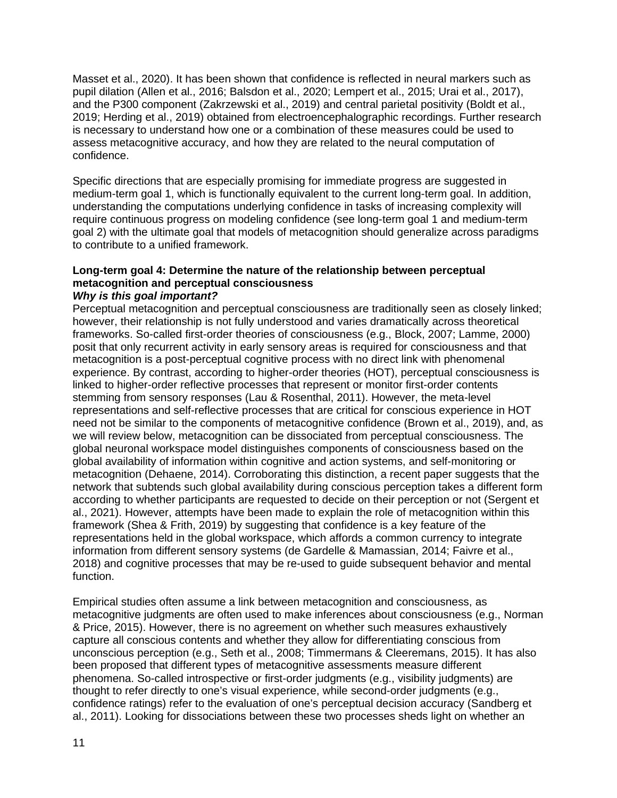Masset et al., 2020). It has been shown that confidence is reflected in neural markers such as pupil dilation (Allen et al., 2016; Balsdon et al., 2020; Lempert et al., 2015; Urai et al., 2017), and the P300 component (Zakrzewski et al., 2019) and central parietal positivity (Boldt et al., 2019; Herding et al., 2019) obtained from electroencephalographic recordings. Further research is necessary to understand how one or a combination of these measures could be used to assess metacognitive accuracy, and how they are related to the neural computation of confidence.

Specific directions that are especially promising for immediate progress are suggested in medium-term goal 1, which is functionally equivalent to the current long-term goal. In addition, understanding the computations underlying confidence in tasks of increasing complexity will require continuous progress on modeling confidence (see long-term goal 1 and medium-term goal 2) with the ultimate goal that models of metacognition should generalize across paradigms to contribute to a unified framework.

#### **Long-term goal 4: Determine the nature of the relationship between perceptual metacognition and perceptual consciousness**  *Why is this goal important?*

Perceptual metacognition and perceptual consciousness are traditionally seen as closely linked; however, their relationship is not fully understood and varies dramatically across theoretical frameworks. So-called first-order theories of consciousness (e.g., Block, 2007; Lamme, 2000) posit that only recurrent activity in early sensory areas is required for consciousness and that metacognition is a post-perceptual cognitive process with no direct link with phenomenal experience. By contrast, according to higher-order theories (HOT), perceptual consciousness is linked to higher-order reflective processes that represent or monitor first-order contents stemming from sensory responses (Lau & Rosenthal, 2011). However, the meta-level representations and self-reflective processes that are critical for conscious experience in HOT need not be similar to the components of metacognitive confidence (Brown et al., 2019), and, as we will review below, metacognition can be dissociated from perceptual consciousness. The global neuronal workspace model distinguishes components of consciousness based on the global availability of information within cognitive and action systems, and self-monitoring or metacognition (Dehaene, 2014). Corroborating this distinction, a recent paper suggests that the network that subtends such global availability during conscious perception takes a different form according to whether participants are requested to decide on their perception or not (Sergent et al., 2021). However, attempts have been made to explain the role of metacognition within this framework (Shea & Frith, 2019) by suggesting that confidence is a key feature of the representations held in the global workspace, which affords a common currency to integrate information from different sensory systems (de Gardelle & Mamassian, 2014; Faivre et al., 2018) and cognitive processes that may be re-used to guide subsequent behavior and mental function.

Empirical studies often assume a link between metacognition and consciousness, as metacognitive judgments are often used to make inferences about consciousness (e.g., Norman & Price, 2015). However, there is no agreement on whether such measures exhaustively capture all conscious contents and whether they allow for differentiating conscious from unconscious perception (e.g., Seth et al., 2008; Timmermans & Cleeremans, 2015). It has also been proposed that different types of metacognitive assessments measure different phenomena. So-called introspective or first-order judgments (e.g., visibility judgments) are thought to refer directly to one's visual experience, while second-order judgments (e.g., confidence ratings) refer to the evaluation of one's perceptual decision accuracy (Sandberg et al., 2011). Looking for dissociations between these two processes sheds light on whether an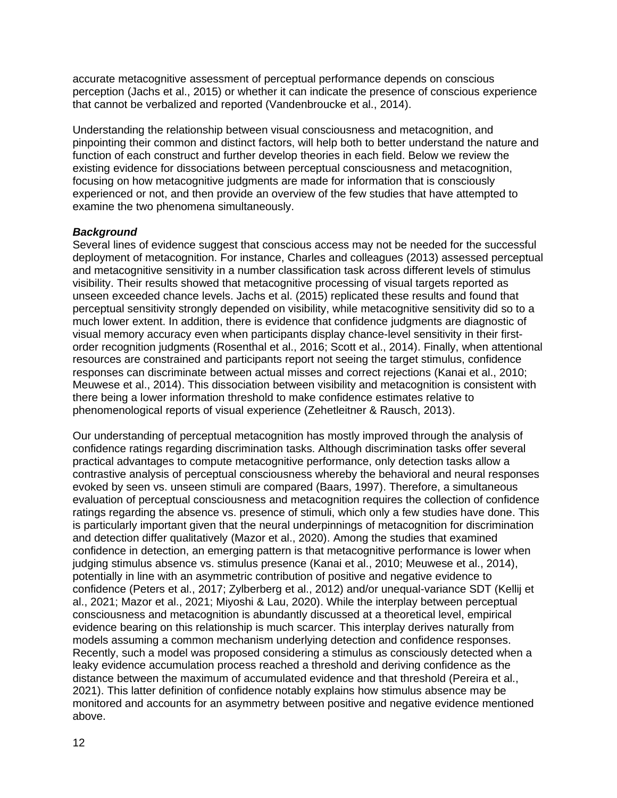accurate metacognitive assessment of perceptual performance depends on conscious perception (Jachs et al., 2015) or whether it can indicate the presence of conscious experience that cannot be verbalized and reported (Vandenbroucke et al., 2014).

Understanding the relationship between visual consciousness and metacognition, and pinpointing their common and distinct factors, will help both to better understand the nature and function of each construct and further develop theories in each field. Below we review the existing evidence for dissociations between perceptual consciousness and metacognition, focusing on how metacognitive judgments are made for information that is consciously experienced or not, and then provide an overview of the few studies that have attempted to examine the two phenomena simultaneously.

#### *Background*

Several lines of evidence suggest that conscious access may not be needed for the successful deployment of metacognition. For instance, Charles and colleagues (2013) assessed perceptual and metacognitive sensitivity in a number classification task across different levels of stimulus visibility. Their results showed that metacognitive processing of visual targets reported as unseen exceeded chance levels. Jachs et al. (2015) replicated these results and found that perceptual sensitivity strongly depended on visibility, while metacognitive sensitivity did so to a much lower extent. In addition, there is evidence that confidence judgments are diagnostic of visual memory accuracy even when participants display chance-level sensitivity in their firstorder recognition judgments (Rosenthal et al., 2016; Scott et al., 2014). Finally, when attentional resources are constrained and participants report not seeing the target stimulus, confidence responses can discriminate between actual misses and correct rejections (Kanai et al., 2010; Meuwese et al., 2014). This dissociation between visibility and metacognition is consistent with there being a lower information threshold to make confidence estimates relative to phenomenological reports of visual experience (Zehetleitner & Rausch, 2013).

Our understanding of perceptual metacognition has mostly improved through the analysis of confidence ratings regarding discrimination tasks. Although discrimination tasks offer several practical advantages to compute metacognitive performance, only detection tasks allow a contrastive analysis of perceptual consciousness whereby the behavioral and neural responses evoked by seen vs. unseen stimuli are compared (Baars, 1997). Therefore, a simultaneous evaluation of perceptual consciousness and metacognition requires the collection of confidence ratings regarding the absence vs. presence of stimuli, which only a few studies have done. This is particularly important given that the neural underpinnings of metacognition for discrimination and detection differ qualitatively (Mazor et al., 2020). Among the studies that examined confidence in detection, an emerging pattern is that metacognitive performance is lower when judging stimulus absence vs. stimulus presence (Kanai et al., 2010; Meuwese et al., 2014), potentially in line with an asymmetric contribution of positive and negative evidence to confidence (Peters et al., 2017; Zylberberg et al., 2012) and/or unequal-variance SDT (Kellij et al., 2021; Mazor et al., 2021; Miyoshi & Lau, 2020). While the interplay between perceptual consciousness and metacognition is abundantly discussed at a theoretical level, empirical evidence bearing on this relationship is much scarcer. This interplay derives naturally from models assuming a common mechanism underlying detection and confidence responses. Recently, such a model was proposed considering a stimulus as consciously detected when a leaky evidence accumulation process reached a threshold and deriving confidence as the distance between the maximum of accumulated evidence and that threshold (Pereira et al., 2021). This latter definition of confidence notably explains how stimulus absence may be monitored and accounts for an asymmetry between positive and negative evidence mentioned above.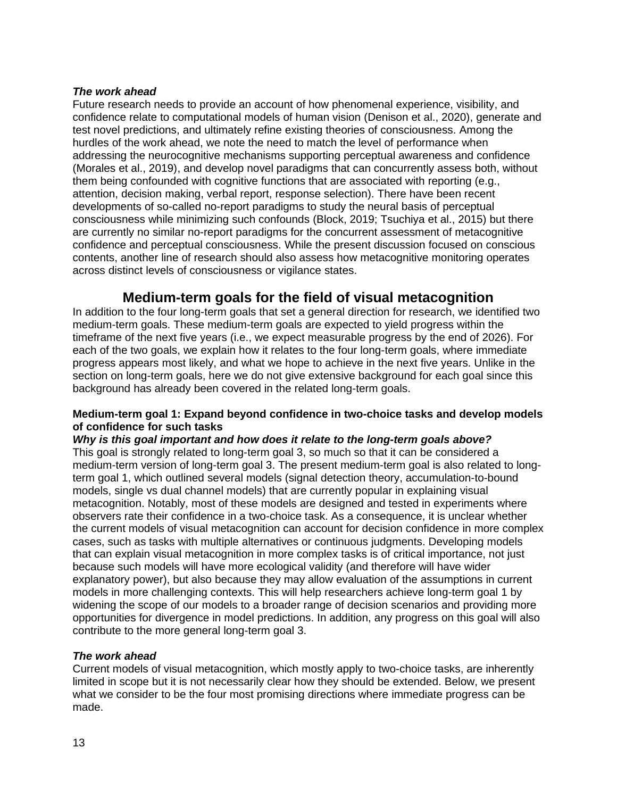#### *The work ahead*

Future research needs to provide an account of how phenomenal experience, visibility, and confidence relate to computational models of human vision (Denison et al., 2020), generate and test novel predictions, and ultimately refine existing theories of consciousness. Among the hurdles of the work ahead, we note the need to match the level of performance when addressing the neurocognitive mechanisms supporting perceptual awareness and confidence (Morales et al., 2019), and develop novel paradigms that can concurrently assess both, without them being confounded with cognitive functions that are associated with reporting (e.g., attention, decision making, verbal report, response selection). There have been recent developments of so-called no-report paradigms to study the neural basis of perceptual consciousness while minimizing such confounds (Block, 2019; Tsuchiya et al., 2015) but there are currently no similar no-report paradigms for the concurrent assessment of metacognitive confidence and perceptual consciousness. While the present discussion focused on conscious contents, another line of research should also assess how metacognitive monitoring operates across distinct levels of consciousness or vigilance states.

## **Medium-term goals for the field of visual metacognition**

In addition to the four long-term goals that set a general direction for research, we identified two medium-term goals. These medium-term goals are expected to yield progress within the timeframe of the next five years (i.e., we expect measurable progress by the end of 2026). For each of the two goals, we explain how it relates to the four long-term goals, where immediate progress appears most likely, and what we hope to achieve in the next five years. Unlike in the section on long-term goals, here we do not give extensive background for each goal since this background has already been covered in the related long-term goals.

#### **Medium-term goal 1: Expand beyond confidence in two-choice tasks and develop models of confidence for such tasks**

#### *Why is this goal important and how does it relate to the long-term goals above?*

This goal is strongly related to long-term goal 3, so much so that it can be considered a medium-term version of long-term goal 3. The present medium-term goal is also related to longterm goal 1, which outlined several models (signal detection theory, accumulation-to-bound models, single vs dual channel models) that are currently popular in explaining visual metacognition. Notably, most of these models are designed and tested in experiments where observers rate their confidence in a two-choice task. As a consequence, it is unclear whether the current models of visual metacognition can account for decision confidence in more complex cases, such as tasks with multiple alternatives or continuous judgments. Developing models that can explain visual metacognition in more complex tasks is of critical importance, not just because such models will have more ecological validity (and therefore will have wider explanatory power), but also because they may allow evaluation of the assumptions in current models in more challenging contexts. This will help researchers achieve long-term goal 1 by widening the scope of our models to a broader range of decision scenarios and providing more opportunities for divergence in model predictions. In addition, any progress on this goal will also contribute to the more general long-term goal 3.

#### *The work ahead*

Current models of visual metacognition, which mostly apply to two-choice tasks, are inherently limited in scope but it is not necessarily clear how they should be extended. Below, we present what we consider to be the four most promising directions where immediate progress can be made.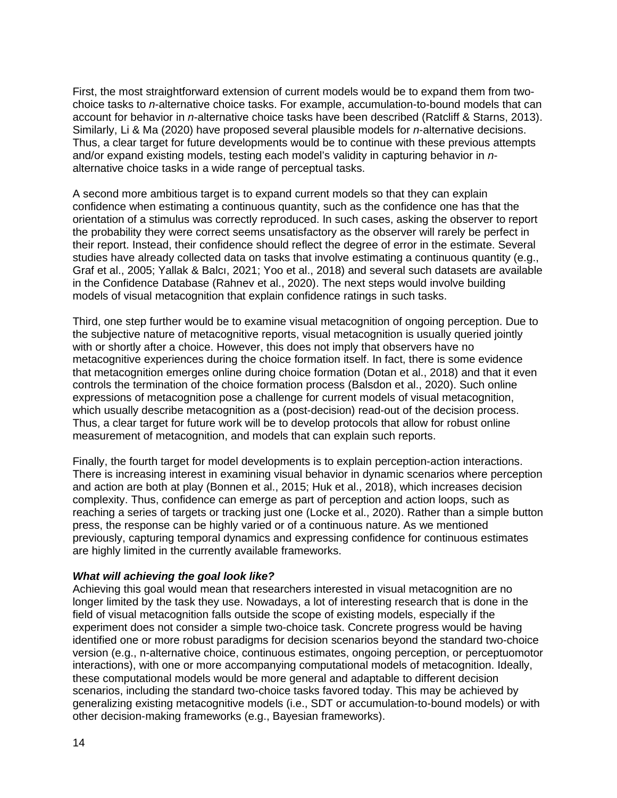First, the most straightforward extension of current models would be to expand them from twochoice tasks to *n*-alternative choice tasks. For example, accumulation-to-bound models that can account for behavior in *n*-alternative choice tasks have been described (Ratcliff & Starns, 2013). Similarly, Li & Ma (2020) have proposed several plausible models for *n*-alternative decisions. Thus, a clear target for future developments would be to continue with these previous attempts and/or expand existing models, testing each model's validity in capturing behavior in *n*alternative choice tasks in a wide range of perceptual tasks.

A second more ambitious target is to expand current models so that they can explain confidence when estimating a continuous quantity, such as the confidence one has that the orientation of a stimulus was correctly reproduced. In such cases, asking the observer to report the probability they were correct seems unsatisfactory as the observer will rarely be perfect in their report. Instead, their confidence should reflect the degree of error in the estimate. Several studies have already collected data on tasks that involve estimating a continuous quantity (e.g., Graf et al., 2005; Yallak & Balcı, 2021; Yoo et al., 2018) and several such datasets are available in the Confidence Database (Rahnev et al., 2020). The next steps would involve building models of visual metacognition that explain confidence ratings in such tasks.

Third, one step further would be to examine visual metacognition of ongoing perception. Due to the subjective nature of metacognitive reports, visual metacognition is usually queried jointly with or shortly after a choice. However, this does not imply that observers have no metacognitive experiences during the choice formation itself. In fact, there is some evidence that metacognition emerges online during choice formation (Dotan et al., 2018) and that it even controls the termination of the choice formation process (Balsdon et al., 2020). Such online expressions of metacognition pose a challenge for current models of visual metacognition, which usually describe metacognition as a (post-decision) read-out of the decision process. Thus, a clear target for future work will be to develop protocols that allow for robust online measurement of metacognition, and models that can explain such reports.

Finally, the fourth target for model developments is to explain perception-action interactions. There is increasing interest in examining visual behavior in dynamic scenarios where perception and action are both at play (Bonnen et al., 2015; Huk et al., 2018), which increases decision complexity. Thus, confidence can emerge as part of perception and action loops, such as reaching a series of targets or tracking just one (Locke et al., 2020). Rather than a simple button press, the response can be highly varied or of a continuous nature. As we mentioned previously, capturing temporal dynamics and expressing confidence for continuous estimates are highly limited in the currently available frameworks.

#### *What will achieving the goal look like?*

Achieving this goal would mean that researchers interested in visual metacognition are no longer limited by the task they use. Nowadays, a lot of interesting research that is done in the field of visual metacognition falls outside the scope of existing models, especially if the experiment does not consider a simple two-choice task. Concrete progress would be having identified one or more robust paradigms for decision scenarios beyond the standard two-choice version (e.g., n-alternative choice, continuous estimates, ongoing perception, or perceptuomotor interactions), with one or more accompanying computational models of metacognition. Ideally, these computational models would be more general and adaptable to different decision scenarios, including the standard two-choice tasks favored today. This may be achieved by generalizing existing metacognitive models (i.e., SDT or accumulation-to-bound models) or with other decision-making frameworks (e.g., Bayesian frameworks).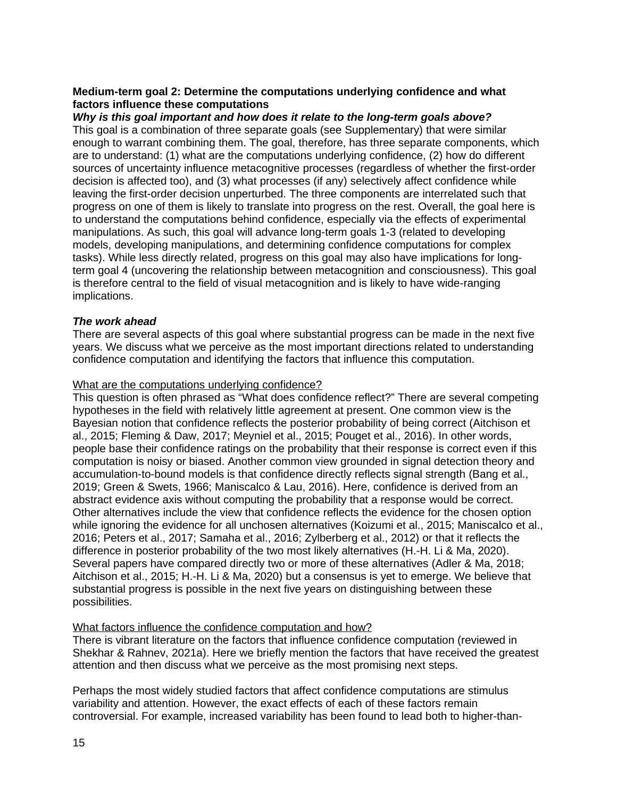#### **Medium-term goal 2: Determine the computations underlying confidence and what factors influence these computations**

*Why is this goal important and how does it relate to the long-term goals above?* This goal is a combination of three separate goals (see Supplementary) that were similar enough to warrant combining them. The goal, therefore, has three separate components, which are to understand: (1) what are the computations underlying confidence, (2) how do different sources of uncertainty influence metacognitive processes (regardless of whether the first-order decision is affected too), and (3) what processes (if any) selectively affect confidence while leaving the first-order decision unperturbed. The three components are interrelated such that progress on one of them is likely to translate into progress on the rest. Overall, the goal here is to understand the computations behind confidence, especially via the effects of experimental manipulations. As such, this goal will advance long-term goals 1-3 (related to developing models, developing manipulations, and determining confidence computations for complex tasks). While less directly related, progress on this goal may also have implications for longterm goal 4 (uncovering the relationship between metacognition and consciousness). This goal is therefore central to the field of visual metacognition and is likely to have wide-ranging implications.

#### *The work ahead*

There are several aspects of this goal where substantial progress can be made in the next five years. We discuss what we perceive as the most important directions related to understanding confidence computation and identifying the factors that influence this computation.

#### What are the computations underlying confidence?

This question is often phrased as "What does confidence reflect?" There are several competing hypotheses in the field with relatively little agreement at present. One common view is the Bayesian notion that confidence reflects the posterior probability of being correct (Aitchison et al., 2015; Fleming & Daw, 2017; Meyniel et al., 2015; Pouget et al., 2016). In other words, people base their confidence ratings on the probability that their response is correct even if this computation is noisy or biased. Another common view grounded in signal detection theory and accumulation-to-bound models is that confidence directly reflects signal strength (Bang et al., 2019; Green & Swets, 1966; Maniscalco & Lau, 2016). Here, confidence is derived from an abstract evidence axis without computing the probability that a response would be correct. Other alternatives include the view that confidence reflects the evidence for the chosen option while ignoring the evidence for all unchosen alternatives (Koizumi et al., 2015; Maniscalco et al., 2016; Peters et al., 2017; Samaha et al., 2016; Zylberberg et al., 2012) or that it reflects the difference in posterior probability of the two most likely alternatives (H.-H. Li & Ma, 2020). Several papers have compared directly two or more of these alternatives (Adler & Ma, 2018; Aitchison et al., 2015; H.-H. Li & Ma, 2020) but a consensus is yet to emerge. We believe that substantial progress is possible in the next five years on distinguishing between these possibilities.

#### What factors influence the confidence computation and how?

There is vibrant literature on the factors that influence confidence computation (reviewed in Shekhar & Rahnev, 2021a). Here we briefly mention the factors that have received the greatest attention and then discuss what we perceive as the most promising next steps.

Perhaps the most widely studied factors that affect confidence computations are stimulus variability and attention. However, the exact effects of each of these factors remain controversial. For example, increased variability has been found to lead both to higher-than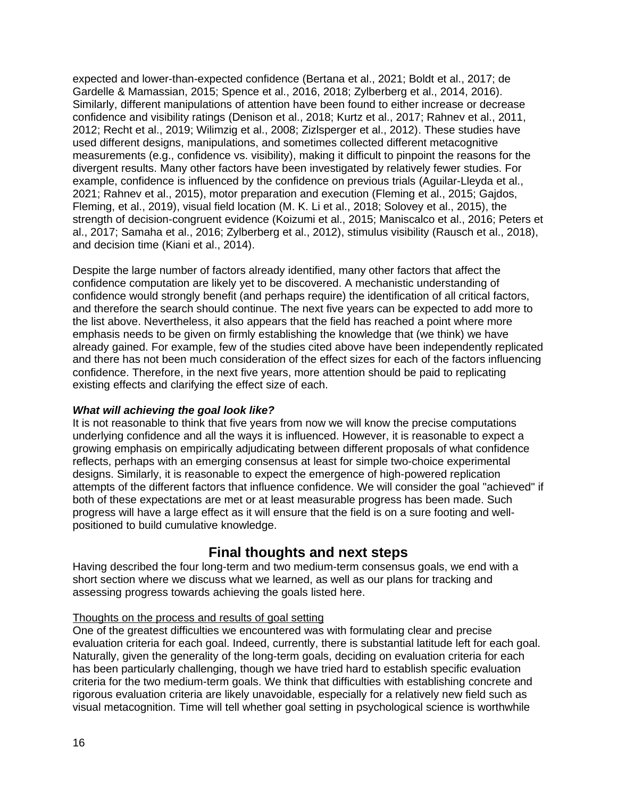expected and lower-than-expected confidence (Bertana et al., 2021; Boldt et al., 2017; de Gardelle & Mamassian, 2015; Spence et al., 2016, 2018; Zylberberg et al., 2014, 2016). Similarly, different manipulations of attention have been found to either increase or decrease confidence and visibility ratings (Denison et al., 2018; Kurtz et al., 2017; Rahnev et al., 2011, 2012; Recht et al., 2019; Wilimzig et al., 2008; Zizlsperger et al., 2012). These studies have used different designs, manipulations, and sometimes collected different metacognitive measurements (e.g., confidence vs. visibility), making it difficult to pinpoint the reasons for the divergent results. Many other factors have been investigated by relatively fewer studies. For example, confidence is influenced by the confidence on previous trials (Aguilar-Lleyda et al., 2021; Rahnev et al., 2015), motor preparation and execution (Fleming et al., 2015; Gajdos, Fleming, et al., 2019), visual field location (M. K. Li et al., 2018; Solovey et al., 2015), the strength of decision-congruent evidence (Koizumi et al., 2015; Maniscalco et al., 2016; Peters et al., 2017; Samaha et al., 2016; Zylberberg et al., 2012), stimulus visibility (Rausch et al., 2018), and decision time (Kiani et al., 2014).

Despite the large number of factors already identified, many other factors that affect the confidence computation are likely yet to be discovered. A mechanistic understanding of confidence would strongly benefit (and perhaps require) the identification of all critical factors, and therefore the search should continue. The next five years can be expected to add more to the list above. Nevertheless, it also appears that the field has reached a point where more emphasis needs to be given on firmly establishing the knowledge that (we think) we have already gained. For example, few of the studies cited above have been independently replicated and there has not been much consideration of the effect sizes for each of the factors influencing confidence. Therefore, in the next five years, more attention should be paid to replicating existing effects and clarifying the effect size of each.

### *What will achieving the goal look like?*

It is not reasonable to think that five years from now we will know the precise computations underlying confidence and all the ways it is influenced. However, it is reasonable to expect a growing emphasis on empirically adjudicating between different proposals of what confidence reflects, perhaps with an emerging consensus at least for simple two-choice experimental designs. Similarly, it is reasonable to expect the emergence of high-powered replication attempts of the different factors that influence confidence. We will consider the goal "achieved" if both of these expectations are met or at least measurable progress has been made. Such progress will have a large effect as it will ensure that the field is on a sure footing and wellpositioned to build cumulative knowledge.

# **Final thoughts and next steps**

Having described the four long-term and two medium-term consensus goals, we end with a short section where we discuss what we learned, as well as our plans for tracking and assessing progress towards achieving the goals listed here.

### Thoughts on the process and results of goal setting

One of the greatest difficulties we encountered was with formulating clear and precise evaluation criteria for each goal. Indeed, currently, there is substantial latitude left for each goal. Naturally, given the generality of the long-term goals, deciding on evaluation criteria for each has been particularly challenging, though we have tried hard to establish specific evaluation criteria for the two medium-term goals. We think that difficulties with establishing concrete and rigorous evaluation criteria are likely unavoidable, especially for a relatively new field such as visual metacognition. Time will tell whether goal setting in psychological science is worthwhile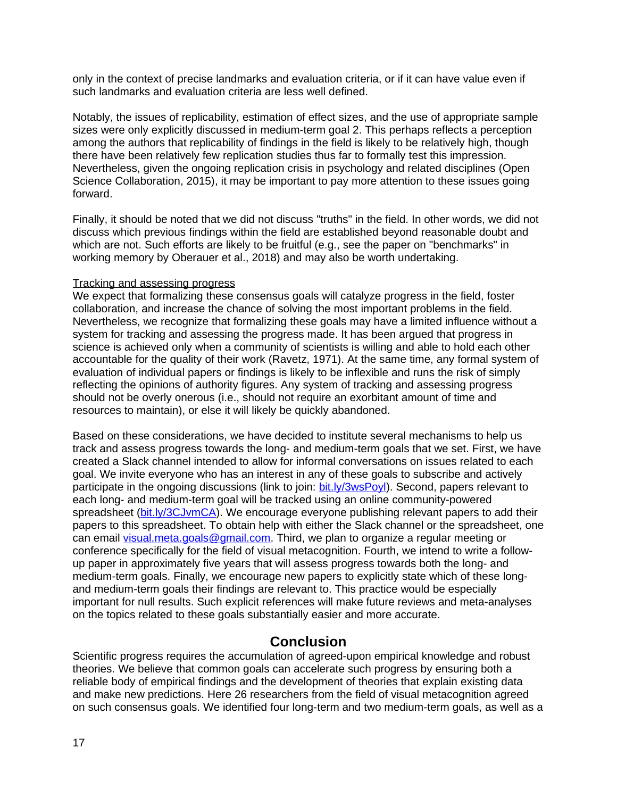only in the context of precise landmarks and evaluation criteria, or if it can have value even if such landmarks and evaluation criteria are less well defined.

Notably, the issues of replicability, estimation of effect sizes, and the use of appropriate sample sizes were only explicitly discussed in medium-term goal 2. This perhaps reflects a perception among the authors that replicability of findings in the field is likely to be relatively high, though there have been relatively few replication studies thus far to formally test this impression. Nevertheless, given the ongoing replication crisis in psychology and related disciplines (Open Science Collaboration, 2015), it may be important to pay more attention to these issues going forward.

Finally, it should be noted that we did not discuss "truths" in the field. In other words, we did not discuss which previous findings within the field are established beyond reasonable doubt and which are not. Such efforts are likely to be fruitful (e.g., see the paper on "benchmarks" in working memory by Oberauer et al., 2018) and may also be worth undertaking.

#### Tracking and assessing progress

We expect that formalizing these consensus goals will catalyze progress in the field, foster collaboration, and increase the chance of solving the most important problems in the field. Nevertheless, we recognize that formalizing these goals may have a limited influence without a system for tracking and assessing the progress made. It has been argued that progress in science is achieved only when a community of scientists is willing and able to hold each other accountable for the quality of their work (Ravetz, 1971). At the same time, any formal system of evaluation of individual papers or findings is likely to be inflexible and runs the risk of simply reflecting the opinions of authority figures. Any system of tracking and assessing progress should not be overly onerous (i.e., should not require an exorbitant amount of time and resources to maintain), or else it will likely be quickly abandoned.

Based on these considerations, we have decided to institute several mechanisms to help us track and assess progress towards the long- and medium-term goals that we set. First, we have created a Slack channel intended to allow for informal conversations on issues related to each goal. We invite everyone who has an interest in any of these goals to subscribe and actively participate in the ongoing discussions (link to join: [bit.ly/3wsPoyl](https://bit.ly/3wsPoyl)). Second, papers relevant to each long- and medium-term goal will be tracked using an online community-powered spreadsheet [\(bit.ly/3CJvmCA\)](https://bit.ly/3CJvmCA). We encourage everyone publishing relevant papers to add their papers to this spreadsheet. To obtain help with either the Slack channel or the spreadsheet, one can email [visual.meta.goals@gmail.com.](./http:%2F%2Fvisual.meta.goals@gmail.com) Third, we plan to organize a regular meeting or conference specifically for the field of visual metacognition. Fourth, we intend to write a followup paper in approximately five years that will assess progress towards both the long- and medium-term goals. Finally, we encourage new papers to explicitly state which of these longand medium-term goals their findings are relevant to. This practice would be especially important for null results. Such explicit references will make future reviews and meta-analyses on the topics related to these goals substantially easier and more accurate.

### **Conclusion**

Scientific progress requires the accumulation of agreed-upon empirical knowledge and robust theories. We believe that common goals can accelerate such progress by ensuring both a reliable body of empirical findings and the development of theories that explain existing data and make new predictions. Here 26 researchers from the field of visual metacognition agreed on such consensus goals. We identified four long-term and two medium-term goals, as well as a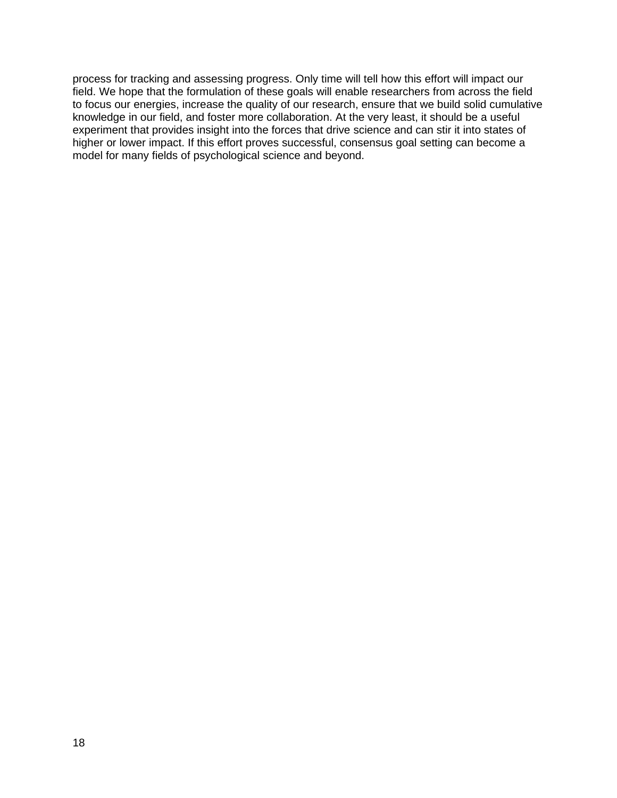process for tracking and assessing progress. Only time will tell how this effort will impact our field. We hope that the formulation of these goals will enable researchers from across the field to focus our energies, increase the quality of our research, ensure that we build solid cumulative knowledge in our field, and foster more collaboration. At the very least, it should be a useful experiment that provides insight into the forces that drive science and can stir it into states of higher or lower impact. If this effort proves successful, consensus goal setting can become a model for many fields of psychological science and beyond.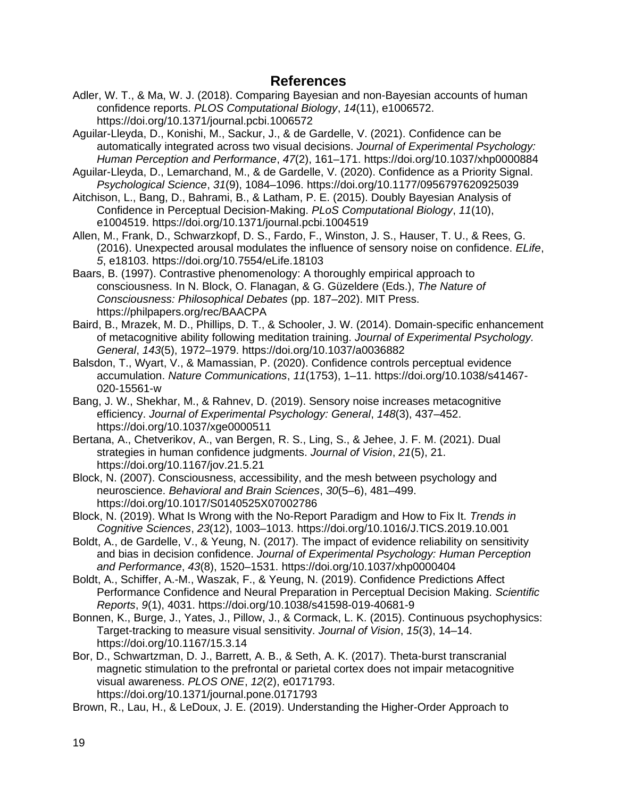### **References**

- Adler, W. T., & Ma, W. J. (2018). Comparing Bayesian and non-Bayesian accounts of human confidence reports. *PLOS Computational Biology*, *14*(11), e1006572. https://doi.org/10.1371/journal.pcbi.1006572
- Aguilar-Lleyda, D., Konishi, M., Sackur, J., & de Gardelle, V. (2021). Confidence can be automatically integrated across two visual decisions. *Journal of Experimental Psychology: Human Perception and Performance*, *47*(2), 161–171. https://doi.org/10.1037/xhp0000884
- Aguilar-Lleyda, D., Lemarchand, M., & de Gardelle, V. (2020). Confidence as a Priority Signal. *Psychological Science*, *31*(9), 1084–1096. https://doi.org/10.1177/0956797620925039
- Aitchison, L., Bang, D., Bahrami, B., & Latham, P. E. (2015). Doubly Bayesian Analysis of Confidence in Perceptual Decision-Making. *PLoS Computational Biology*, *11*(10), e1004519. https://doi.org/10.1371/journal.pcbi.1004519
- Allen, M., Frank, D., Schwarzkopf, D. S., Fardo, F., Winston, J. S., Hauser, T. U., & Rees, G. (2016). Unexpected arousal modulates the influence of sensory noise on confidence. *ELife*, *5*, e18103. https://doi.org/10.7554/eLife.18103
- Baars, B. (1997). Contrastive phenomenology: A thoroughly empirical approach to consciousness. In N. Block, O. Flanagan, & G. Güzeldere (Eds.), *The Nature of Consciousness: Philosophical Debates* (pp. 187–202). MIT Press. https://philpapers.org/rec/BAACPA
- Baird, B., Mrazek, M. D., Phillips, D. T., & Schooler, J. W. (2014). Domain-specific enhancement of metacognitive ability following meditation training. *Journal of Experimental Psychology. General*, *143*(5), 1972–1979. https://doi.org/10.1037/a0036882
- Balsdon, T., Wyart, V., & Mamassian, P. (2020). Confidence controls perceptual evidence accumulation. *Nature Communications*, *11*(1753), 1–11. https://doi.org/10.1038/s41467- 020-15561-w
- Bang, J. W., Shekhar, M., & Rahnev, D. (2019). Sensory noise increases metacognitive efficiency. *Journal of Experimental Psychology: General*, *148*(3), 437–452. https://doi.org/10.1037/xge0000511
- Bertana, A., Chetverikov, A., van Bergen, R. S., Ling, S., & Jehee, J. F. M. (2021). Dual strategies in human confidence judgments. *Journal of Vision*, *21*(5), 21. https://doi.org/10.1167/jov.21.5.21
- Block, N. (2007). Consciousness, accessibility, and the mesh between psychology and neuroscience. *Behavioral and Brain Sciences*, *30*(5–6), 481–499. https://doi.org/10.1017/S0140525X07002786
- Block, N. (2019). What Is Wrong with the No-Report Paradigm and How to Fix It. *Trends in Cognitive Sciences*, *23*(12), 1003–1013. https://doi.org/10.1016/J.TICS.2019.10.001
- Boldt, A., de Gardelle, V., & Yeung, N. (2017). The impact of evidence reliability on sensitivity and bias in decision confidence. *Journal of Experimental Psychology: Human Perception and Performance*, *43*(8), 1520–1531. https://doi.org/10.1037/xhp0000404
- Boldt, A., Schiffer, A.-M., Waszak, F., & Yeung, N. (2019). Confidence Predictions Affect Performance Confidence and Neural Preparation in Perceptual Decision Making. *Scientific Reports*, *9*(1), 4031. https://doi.org/10.1038/s41598-019-40681-9
- Bonnen, K., Burge, J., Yates, J., Pillow, J., & Cormack, L. K. (2015). Continuous psychophysics: Target-tracking to measure visual sensitivity. *Journal of Vision*, *15*(3), 14–14. https://doi.org/10.1167/15.3.14
- Bor, D., Schwartzman, D. J., Barrett, A. B., & Seth, A. K. (2017). Theta-burst transcranial magnetic stimulation to the prefrontal or parietal cortex does not impair metacognitive visual awareness. *PLOS ONE*, *12*(2), e0171793. https://doi.org/10.1371/journal.pone.0171793
- Brown, R., Lau, H., & LeDoux, J. E. (2019). Understanding the Higher-Order Approach to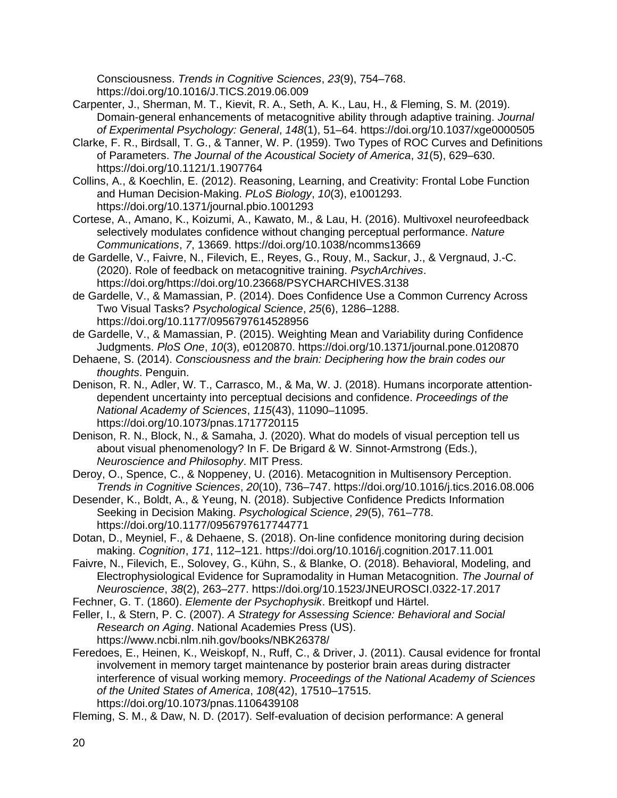Consciousness. *Trends in Cognitive Sciences*, *23*(9), 754–768. https://doi.org/10.1016/J.TICS.2019.06.009

- Carpenter, J., Sherman, M. T., Kievit, R. A., Seth, A. K., Lau, H., & Fleming, S. M. (2019). Domain-general enhancements of metacognitive ability through adaptive training. *Journal of Experimental Psychology: General*, *148*(1), 51–64. https://doi.org/10.1037/xge0000505
- Clarke, F. R., Birdsall, T. G., & Tanner, W. P. (1959). Two Types of ROC Curves and Definitions of Parameters. *The Journal of the Acoustical Society of America*, *31*(5), 629–630. https://doi.org/10.1121/1.1907764
- Collins, A., & Koechlin, E. (2012). Reasoning, Learning, and Creativity: Frontal Lobe Function and Human Decision-Making. *PLoS Biology*, *10*(3), e1001293. https://doi.org/10.1371/journal.pbio.1001293
- Cortese, A., Amano, K., Koizumi, A., Kawato, M., & Lau, H. (2016). Multivoxel neurofeedback selectively modulates confidence without changing perceptual performance. *Nature Communications*, *7*, 13669. https://doi.org/10.1038/ncomms13669
- de Gardelle, V., Faivre, N., Filevich, E., Reyes, G., Rouy, M., Sackur, J., & Vergnaud, J.-C. (2020). Role of feedback on metacognitive training. *PsychArchives*. https://doi.org/https://doi.org/10.23668/PSYCHARCHIVES.3138
- de Gardelle, V., & Mamassian, P. (2014). Does Confidence Use a Common Currency Across Two Visual Tasks? *Psychological Science*, *25*(6), 1286–1288. https://doi.org/10.1177/0956797614528956
- de Gardelle, V., & Mamassian, P. (2015). Weighting Mean and Variability during Confidence Judgments. *PloS One*, *10*(3), e0120870. https://doi.org/10.1371/journal.pone.0120870
- Dehaene, S. (2014). *Consciousness and the brain: Deciphering how the brain codes our thoughts*. Penguin.
- Denison, R. N., Adler, W. T., Carrasco, M., & Ma, W. J. (2018). Humans incorporate attentiondependent uncertainty into perceptual decisions and confidence. *Proceedings of the National Academy of Sciences*, *115*(43), 11090–11095. https://doi.org/10.1073/pnas.1717720115
- Denison, R. N., Block, N., & Samaha, J. (2020). What do models of visual perception tell us about visual phenomenology? In F. De Brigard & W. Sinnot-Armstrong (Eds.), *Neuroscience and Philosophy*. MIT Press.
- Deroy, O., Spence, C., & Noppeney, U. (2016). Metacognition in Multisensory Perception. *Trends in Cognitive Sciences*, *20*(10), 736–747. https://doi.org/10.1016/j.tics.2016.08.006
- Desender, K., Boldt, A., & Yeung, N. (2018). Subjective Confidence Predicts Information Seeking in Decision Making. *Psychological Science*, *29*(5), 761–778. https://doi.org/10.1177/0956797617744771
- Dotan, D., Meyniel, F., & Dehaene, S. (2018). On-line confidence monitoring during decision making. *Cognition*, *171*, 112–121. https://doi.org/10.1016/j.cognition.2017.11.001
- Faivre, N., Filevich, E., Solovey, G., Kühn, S., & Blanke, O. (2018). Behavioral, Modeling, and Electrophysiological Evidence for Supramodality in Human Metacognition. *The Journal of Neuroscience*, *38*(2), 263–277. https://doi.org/10.1523/JNEUROSCI.0322-17.2017
- Fechner, G. T. (1860). *Elemente der Psychophysik*. Breitkopf und Härtel.
- Feller, I., & Stern, P. C. (2007). *A Strategy for Assessing Science: Behavioral and Social Research on Aging*. National Academies Press (US). https://www.ncbi.nlm.nih.gov/books/NBK26378/
- Feredoes, E., Heinen, K., Weiskopf, N., Ruff, C., & Driver, J. (2011). Causal evidence for frontal involvement in memory target maintenance by posterior brain areas during distracter interference of visual working memory. *Proceedings of the National Academy of Sciences of the United States of America*, *108*(42), 17510–17515. https://doi.org/10.1073/pnas.1106439108

Fleming, S. M., & Daw, N. D. (2017). Self-evaluation of decision performance: A general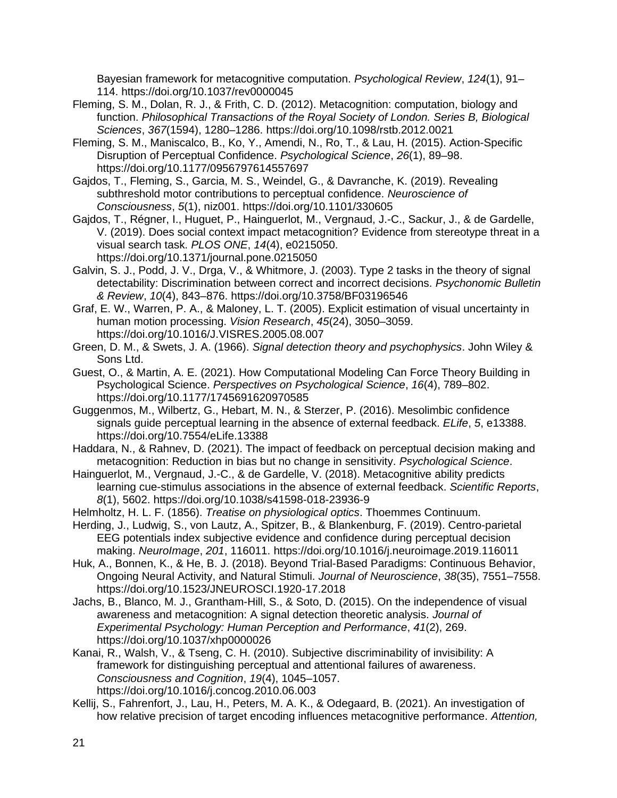Bayesian framework for metacognitive computation. *Psychological Review*, *124*(1), 91– 114. https://doi.org/10.1037/rev0000045

- Fleming, S. M., Dolan, R. J., & Frith, C. D. (2012). Metacognition: computation, biology and function. *Philosophical Transactions of the Royal Society of London. Series B, Biological Sciences*, *367*(1594), 1280–1286. https://doi.org/10.1098/rstb.2012.0021
- Fleming, S. M., Maniscalco, B., Ko, Y., Amendi, N., Ro, T., & Lau, H. (2015). Action-Specific Disruption of Perceptual Confidence. *Psychological Science*, *26*(1), 89–98. https://doi.org/10.1177/0956797614557697
- Gajdos, T., Fleming, S., Garcia, M. S., Weindel, G., & Davranche, K. (2019). Revealing subthreshold motor contributions to perceptual confidence. *Neuroscience of Consciousness*, *5*(1), niz001. https://doi.org/10.1101/330605
- Gajdos, T., Régner, I., Huguet, P., Hainguerlot, M., Vergnaud, J.-C., Sackur, J., & de Gardelle, V. (2019). Does social context impact metacognition? Evidence from stereotype threat in a visual search task. *PLOS ONE*, *14*(4), e0215050. https://doi.org/10.1371/journal.pone.0215050
- Galvin, S. J., Podd, J. V., Drga, V., & Whitmore, J. (2003). Type 2 tasks in the theory of signal detectability: Discrimination between correct and incorrect decisions. *Psychonomic Bulletin & Review*, *10*(4), 843–876. https://doi.org/10.3758/BF03196546
- Graf, E. W., Warren, P. A., & Maloney, L. T. (2005). Explicit estimation of visual uncertainty in human motion processing. *Vision Research*, *45*(24), 3050–3059. https://doi.org/10.1016/J.VISRES.2005.08.007
- Green, D. M., & Swets, J. A. (1966). *Signal detection theory and psychophysics*. John Wiley & Sons Ltd.
- Guest, O., & Martin, A. E. (2021). How Computational Modeling Can Force Theory Building in Psychological Science. *Perspectives on Psychological Science*, *16*(4), 789–802. https://doi.org/10.1177/1745691620970585
- Guggenmos, M., Wilbertz, G., Hebart, M. N., & Sterzer, P. (2016). Mesolimbic confidence signals guide perceptual learning in the absence of external feedback. *ELife*, *5*, e13388. https://doi.org/10.7554/eLife.13388

Haddara, N., & Rahnev, D. (2021). The impact of feedback on perceptual decision making and metacognition: Reduction in bias but no change in sensitivity. *Psychological Science*.

- Hainguerlot, M., Vergnaud, J.-C., & de Gardelle, V. (2018). Metacognitive ability predicts learning cue-stimulus associations in the absence of external feedback. *Scientific Reports*, *8*(1), 5602. https://doi.org/10.1038/s41598-018-23936-9
- Helmholtz, H. L. F. (1856). *Treatise on physiological optics*. Thoemmes Continuum.

Herding, J., Ludwig, S., von Lautz, A., Spitzer, B., & Blankenburg, F. (2019). Centro-parietal EEG potentials index subjective evidence and confidence during perceptual decision making. *NeuroImage*, *201*, 116011. https://doi.org/10.1016/j.neuroimage.2019.116011

Huk, A., Bonnen, K., & He, B. J. (2018). Beyond Trial-Based Paradigms: Continuous Behavior, Ongoing Neural Activity, and Natural Stimuli. *Journal of Neuroscience*, *38*(35), 7551–7558. https://doi.org/10.1523/JNEUROSCI.1920-17.2018

Jachs, B., Blanco, M. J., Grantham-Hill, S., & Soto, D. (2015). On the independence of visual awareness and metacognition: A signal detection theoretic analysis. *Journal of Experimental Psychology: Human Perception and Performance*, *41*(2), 269. https://doi.org/10.1037/xhp0000026

Kanai, R., Walsh, V., & Tseng, C. H. (2010). Subjective discriminability of invisibility: A framework for distinguishing perceptual and attentional failures of awareness. *Consciousness and Cognition*, *19*(4), 1045–1057. https://doi.org/10.1016/j.concog.2010.06.003

Kellij, S., Fahrenfort, J., Lau, H., Peters, M. A. K., & Odegaard, B. (2021). An investigation of how relative precision of target encoding influences metacognitive performance. *Attention,*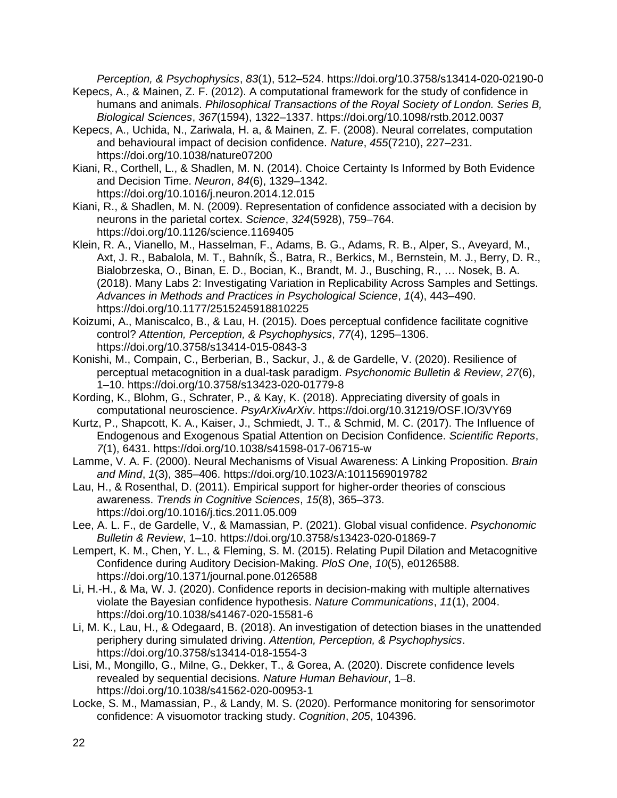*Perception, & Psychophysics*, *83*(1), 512–524. https://doi.org/10.3758/s13414-020-02190-0

- Kepecs, A., & Mainen, Z. F. (2012). A computational framework for the study of confidence in humans and animals. *Philosophical Transactions of the Royal Society of London. Series B, Biological Sciences*, *367*(1594), 1322–1337. https://doi.org/10.1098/rstb.2012.0037
- Kepecs, A., Uchida, N., Zariwala, H. a, & Mainen, Z. F. (2008). Neural correlates, computation and behavioural impact of decision confidence. *Nature*, *455*(7210), 227–231. https://doi.org/10.1038/nature07200
- Kiani, R., Corthell, L., & Shadlen, M. N. (2014). Choice Certainty Is Informed by Both Evidence and Decision Time. *Neuron*, *84*(6), 1329–1342. https://doi.org/10.1016/j.neuron.2014.12.015
- Kiani, R., & Shadlen, M. N. (2009). Representation of confidence associated with a decision by neurons in the parietal cortex. *Science*, *324*(5928), 759–764. https://doi.org/10.1126/science.1169405
- Klein, R. A., Vianello, M., Hasselman, F., Adams, B. G., Adams, R. B., Alper, S., Aveyard, M., Axt, J. R., Babalola, M. T., Bahník, Š., Batra, R., Berkics, M., Bernstein, M. J., Berry, D. R., Bialobrzeska, O., Binan, E. D., Bocian, K., Brandt, M. J., Busching, R., … Nosek, B. A. (2018). Many Labs 2: Investigating Variation in Replicability Across Samples and Settings. *Advances in Methods and Practices in Psychological Science*, *1*(4), 443–490. https://doi.org/10.1177/2515245918810225
- Koizumi, A., Maniscalco, B., & Lau, H. (2015). Does perceptual confidence facilitate cognitive control? *Attention, Perception, & Psychophysics*, *77*(4), 1295–1306. https://doi.org/10.3758/s13414-015-0843-3
- Konishi, M., Compain, C., Berberian, B., Sackur, J., & de Gardelle, V. (2020). Resilience of perceptual metacognition in a dual-task paradigm. *Psychonomic Bulletin & Review*, *27*(6), 1–10. https://doi.org/10.3758/s13423-020-01779-8
- Kording, K., Blohm, G., Schrater, P., & Kay, K. (2018). Appreciating diversity of goals in computational neuroscience. *PsyArXivArXiv*. https://doi.org/10.31219/OSF.IO/3VY69
- Kurtz, P., Shapcott, K. A., Kaiser, J., Schmiedt, J. T., & Schmid, M. C. (2017). The Influence of Endogenous and Exogenous Spatial Attention on Decision Confidence. *Scientific Reports*, *7*(1), 6431. https://doi.org/10.1038/s41598-017-06715-w
- Lamme, V. A. F. (2000). Neural Mechanisms of Visual Awareness: A Linking Proposition. *Brain and Mind*, *1*(3), 385–406. https://doi.org/10.1023/A:1011569019782
- Lau, H., & Rosenthal, D. (2011). Empirical support for higher-order theories of conscious awareness. *Trends in Cognitive Sciences*, *15*(8), 365–373. https://doi.org/10.1016/j.tics.2011.05.009
- Lee, A. L. F., de Gardelle, V., & Mamassian, P. (2021). Global visual confidence. *Psychonomic Bulletin & Review*, 1–10. https://doi.org/10.3758/s13423-020-01869-7
- Lempert, K. M., Chen, Y. L., & Fleming, S. M. (2015). Relating Pupil Dilation and Metacognitive Confidence during Auditory Decision-Making. *PloS One*, *10*(5), e0126588. https://doi.org/10.1371/journal.pone.0126588
- Li, H.-H., & Ma, W. J. (2020). Confidence reports in decision-making with multiple alternatives violate the Bayesian confidence hypothesis. *Nature Communications*, *11*(1), 2004. https://doi.org/10.1038/s41467-020-15581-6
- Li, M. K., Lau, H., & Odegaard, B. (2018). An investigation of detection biases in the unattended periphery during simulated driving. *Attention, Perception, & Psychophysics*. https://doi.org/10.3758/s13414-018-1554-3
- Lisi, M., Mongillo, G., Milne, G., Dekker, T., & Gorea, A. (2020). Discrete confidence levels revealed by sequential decisions. *Nature Human Behaviour*, 1–8. https://doi.org/10.1038/s41562-020-00953-1
- Locke, S. M., Mamassian, P., & Landy, M. S. (2020). Performance monitoring for sensorimotor confidence: A visuomotor tracking study. *Cognition*, *205*, 104396.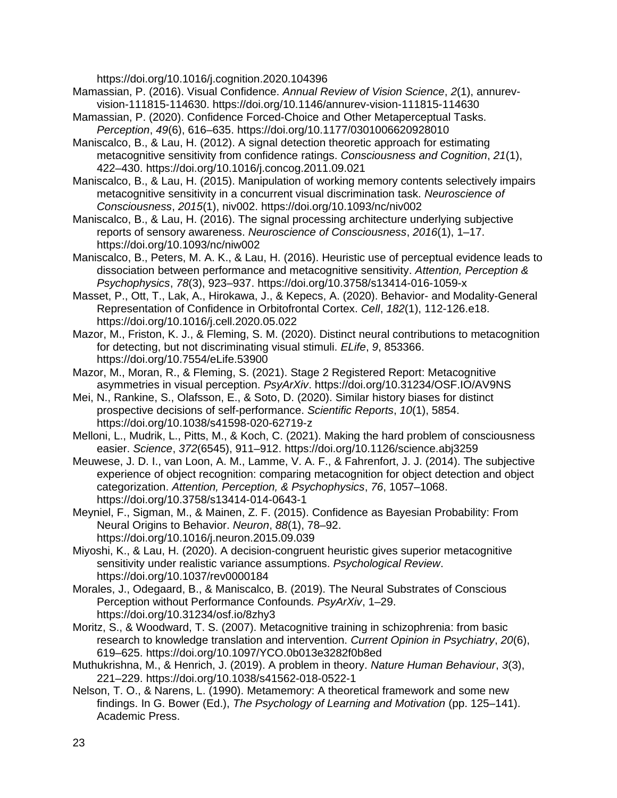https://doi.org/10.1016/j.cognition.2020.104396

- Mamassian, P. (2016). Visual Confidence. *Annual Review of Vision Science*, *2*(1), annurevvision-111815-114630. https://doi.org/10.1146/annurev-vision-111815-114630
- Mamassian, P. (2020). Confidence Forced-Choice and Other Metaperceptual Tasks. *Perception*, *49*(6), 616–635. https://doi.org/10.1177/0301006620928010
- Maniscalco, B., & Lau, H. (2012). A signal detection theoretic approach for estimating metacognitive sensitivity from confidence ratings. *Consciousness and Cognition*, *21*(1), 422–430. https://doi.org/10.1016/j.concog.2011.09.021
- Maniscalco, B., & Lau, H. (2015). Manipulation of working memory contents selectively impairs metacognitive sensitivity in a concurrent visual discrimination task. *Neuroscience of Consciousness*, *2015*(1), niv002. https://doi.org/10.1093/nc/niv002
- Maniscalco, B., & Lau, H. (2016). The signal processing architecture underlying subjective reports of sensory awareness. *Neuroscience of Consciousness*, *2016*(1), 1–17. https://doi.org/10.1093/nc/niw002
- Maniscalco, B., Peters, M. A. K., & Lau, H. (2016). Heuristic use of perceptual evidence leads to dissociation between performance and metacognitive sensitivity. *Attention, Perception & Psychophysics*, *78*(3), 923–937. https://doi.org/10.3758/s13414-016-1059-x
- Masset, P., Ott, T., Lak, A., Hirokawa, J., & Kepecs, A. (2020). Behavior- and Modality-General Representation of Confidence in Orbitofrontal Cortex. *Cell*, *182*(1), 112-126.e18. https://doi.org/10.1016/j.cell.2020.05.022
- Mazor, M., Friston, K. J., & Fleming, S. M. (2020). Distinct neural contributions to metacognition for detecting, but not discriminating visual stimuli. *ELife*, *9*, 853366. https://doi.org/10.7554/eLife.53900
- Mazor, M., Moran, R., & Fleming, S. (2021). Stage 2 Registered Report: Metacognitive asymmetries in visual perception. *PsyArXiv*. https://doi.org/10.31234/OSF.IO/AV9NS
- Mei, N., Rankine, S., Olafsson, E., & Soto, D. (2020). Similar history biases for distinct prospective decisions of self-performance. *Scientific Reports*, *10*(1), 5854. https://doi.org/10.1038/s41598-020-62719-z
- Melloni, L., Mudrik, L., Pitts, M., & Koch, C. (2021). Making the hard problem of consciousness easier. *Science*, *372*(6545), 911–912. https://doi.org/10.1126/science.abj3259
- Meuwese, J. D. I., van Loon, A. M., Lamme, V. A. F., & Fahrenfort, J. J. (2014). The subjective experience of object recognition: comparing metacognition for object detection and object categorization. *Attention, Perception, & Psychophysics*, *76*, 1057–1068. https://doi.org/10.3758/s13414-014-0643-1
- Meyniel, F., Sigman, M., & Mainen, Z. F. (2015). Confidence as Bayesian Probability: From Neural Origins to Behavior. *Neuron*, *88*(1), 78–92. https://doi.org/10.1016/j.neuron.2015.09.039
- Miyoshi, K., & Lau, H. (2020). A decision-congruent heuristic gives superior metacognitive sensitivity under realistic variance assumptions. *Psychological Review*. https://doi.org/10.1037/rev0000184
- Morales, J., Odegaard, B., & Maniscalco, B. (2019). The Neural Substrates of Conscious Perception without Performance Confounds. *PsyArXiv*, 1–29. https://doi.org/10.31234/osf.io/8zhy3
- Moritz, S., & Woodward, T. S. (2007). Metacognitive training in schizophrenia: from basic research to knowledge translation and intervention. *Current Opinion in Psychiatry*, *20*(6), 619–625. https://doi.org/10.1097/YCO.0b013e3282f0b8ed
- Muthukrishna, M., & Henrich, J. (2019). A problem in theory. *Nature Human Behaviour*, *3*(3), 221–229. https://doi.org/10.1038/s41562-018-0522-1
- Nelson, T. O., & Narens, L. (1990). Metamemory: A theoretical framework and some new findings. In G. Bower (Ed.), *The Psychology of Learning and Motivation* (pp. 125–141). Academic Press.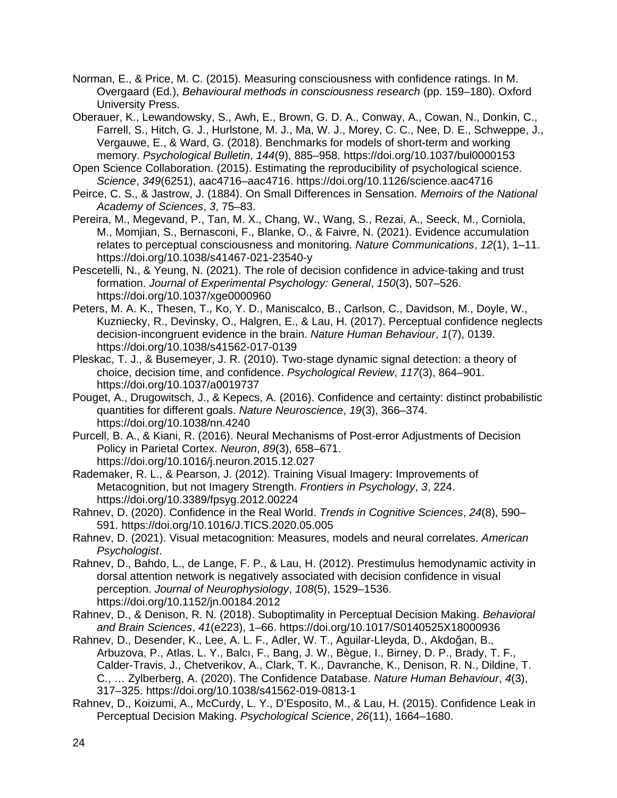- Norman, E., & Price, M. C. (2015). Measuring consciousness with confidence ratings. In M. Overgaard (Ed.), *Behavioural methods in consciousness research* (pp. 159–180). Oxford University Press.
- Oberauer, K., Lewandowsky, S., Awh, E., Brown, G. D. A., Conway, A., Cowan, N., Donkin, C., Farrell, S., Hitch, G. J., Hurlstone, M. J., Ma, W. J., Morey, C. C., Nee, D. E., Schweppe, J., Vergauwe, E., & Ward, G. (2018). Benchmarks for models of short-term and working memory. *Psychological Bulletin*, *144*(9), 885–958. https://doi.org/10.1037/bul0000153
- Open Science Collaboration. (2015). Estimating the reproducibility of psychological science. *Science*, *349*(6251), aac4716–aac4716. https://doi.org/10.1126/science.aac4716
- Peirce, C. S., & Jastrow, J. (1884). On Small Differences in Sensation. *Memoirs of the National Academy of Sciences*, *3*, 75–83.
- Pereira, M., Megevand, P., Tan, M. X., Chang, W., Wang, S., Rezai, A., Seeck, M., Corniola, M., Momjian, S., Bernasconi, F., Blanke, O., & Faivre, N. (2021). Evidence accumulation relates to perceptual consciousness and monitoring. *Nature Communications*, *12*(1), 1–11. https://doi.org/10.1038/s41467-021-23540-y
- Pescetelli, N., & Yeung, N. (2021). The role of decision confidence in advice-taking and trust formation. *Journal of Experimental Psychology: General*, *150*(3), 507–526. https://doi.org/10.1037/xge0000960
- Peters, M. A. K., Thesen, T., Ko, Y. D., Maniscalco, B., Carlson, C., Davidson, M., Doyle, W., Kuzniecky, R., Devinsky, O., Halgren, E., & Lau, H. (2017). Perceptual confidence neglects decision-incongruent evidence in the brain. *Nature Human Behaviour*, *1*(7), 0139. https://doi.org/10.1038/s41562-017-0139
- Pleskac, T. J., & Busemeyer, J. R. (2010). Two-stage dynamic signal detection: a theory of choice, decision time, and confidence. *Psychological Review*, *117*(3), 864–901. https://doi.org/10.1037/a0019737
- Pouget, A., Drugowitsch, J., & Kepecs, A. (2016). Confidence and certainty: distinct probabilistic quantities for different goals. *Nature Neuroscience*, *19*(3), 366–374. https://doi.org/10.1038/nn.4240
- Purcell, B. A., & Kiani, R. (2016). Neural Mechanisms of Post-error Adjustments of Decision Policy in Parietal Cortex. *Neuron*, *89*(3), 658–671. https://doi.org/10.1016/j.neuron.2015.12.027
- Rademaker, R. L., & Pearson, J. (2012). Training Visual Imagery: Improvements of Metacognition, but not Imagery Strength. *Frontiers in Psychology*, *3*, 224. https://doi.org/10.3389/fpsyg.2012.00224
- Rahnev, D. (2020). Confidence in the Real World. *Trends in Cognitive Sciences*, *24*(8), 590– 591. https://doi.org/10.1016/J.TICS.2020.05.005
- Rahnev, D. (2021). Visual metacognition: Measures, models and neural correlates. *American Psychologist*.
- Rahnev, D., Bahdo, L., de Lange, F. P., & Lau, H. (2012). Prestimulus hemodynamic activity in dorsal attention network is negatively associated with decision confidence in visual perception. *Journal of Neurophysiology*, *108*(5), 1529–1536. https://doi.org/10.1152/jn.00184.2012
- Rahnev, D., & Denison, R. N. (2018). Suboptimality in Perceptual Decision Making. *Behavioral and Brain Sciences*, *41*(e223), 1–66. https://doi.org/10.1017/S0140525X18000936
- Rahnev, D., Desender, K., Lee, A. L. F., Adler, W. T., Aguilar-Lleyda, D., Akdoğan, B., Arbuzova, P., Atlas, L. Y., Balcı, F., Bang, J. W., Bègue, I., Birney, D. P., Brady, T. F., Calder-Travis, J., Chetverikov, A., Clark, T. K., Davranche, K., Denison, R. N., Dildine, T. C., … Zylberberg, A. (2020). The Confidence Database. *Nature Human Behaviour*, *4*(3), 317–325. https://doi.org/10.1038/s41562-019-0813-1
- Rahnev, D., Koizumi, A., McCurdy, L. Y., D'Esposito, M., & Lau, H. (2015). Confidence Leak in Perceptual Decision Making. *Psychological Science*, *26*(11), 1664–1680.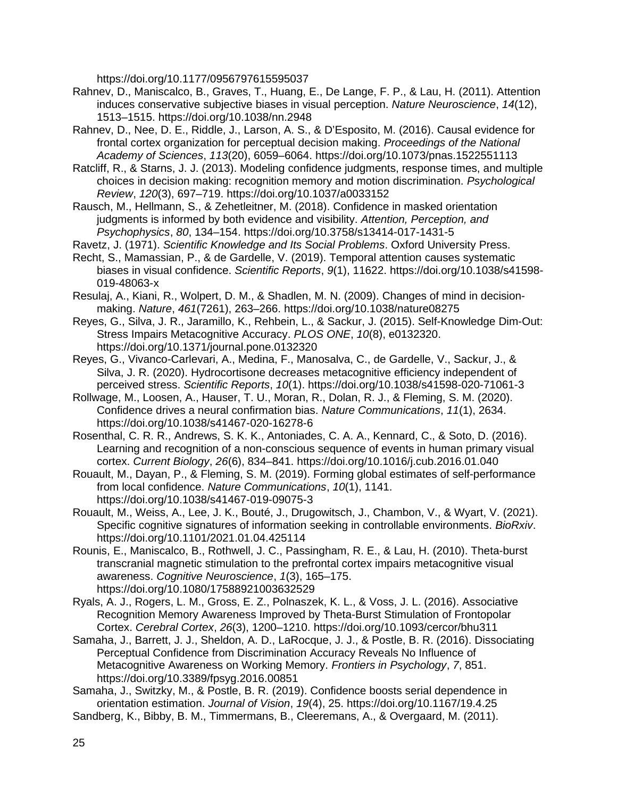https://doi.org/10.1177/0956797615595037

- Rahnev, D., Maniscalco, B., Graves, T., Huang, E., De Lange, F. P., & Lau, H. (2011). Attention induces conservative subjective biases in visual perception. *Nature Neuroscience*, *14*(12), 1513–1515. https://doi.org/10.1038/nn.2948
- Rahnev, D., Nee, D. E., Riddle, J., Larson, A. S., & D'Esposito, M. (2016). Causal evidence for frontal cortex organization for perceptual decision making. *Proceedings of the National Academy of Sciences*, *113*(20), 6059–6064. https://doi.org/10.1073/pnas.1522551113
- Ratcliff, R., & Starns, J. J. (2013). Modeling confidence judgments, response times, and multiple choices in decision making: recognition memory and motion discrimination. *Psychological Review*, *120*(3), 697–719. https://doi.org/10.1037/a0033152
- Rausch, M., Hellmann, S., & Zehetleitner, M. (2018). Confidence in masked orientation judgments is informed by both evidence and visibility. *Attention, Perception, and Psychophysics*, *80*, 134–154. https://doi.org/10.3758/s13414-017-1431-5
- Ravetz, J. (1971). *Scientific Knowledge and Its Social Problems*. Oxford University Press.
- Recht, S., Mamassian, P., & de Gardelle, V. (2019). Temporal attention causes systematic biases in visual confidence. *Scientific Reports*, *9*(1), 11622. https://doi.org/10.1038/s41598- 019-48063-x
- Resulaj, A., Kiani, R., Wolpert, D. M., & Shadlen, M. N. (2009). Changes of mind in decisionmaking. *Nature*, *461*(7261), 263–266. https://doi.org/10.1038/nature08275
- Reyes, G., Silva, J. R., Jaramillo, K., Rehbein, L., & Sackur, J. (2015). Self-Knowledge Dim-Out: Stress Impairs Metacognitive Accuracy. *PLOS ONE*, *10*(8), e0132320. https://doi.org/10.1371/journal.pone.0132320
- Reyes, G., Vivanco-Carlevari, A., Medina, F., Manosalva, C., de Gardelle, V., Sackur, J., & Silva, J. R. (2020). Hydrocortisone decreases metacognitive efficiency independent of perceived stress. *Scientific Reports*, *10*(1). https://doi.org/10.1038/s41598-020-71061-3
- Rollwage, M., Loosen, A., Hauser, T. U., Moran, R., Dolan, R. J., & Fleming, S. M. (2020). Confidence drives a neural confirmation bias. *Nature Communications*, *11*(1), 2634. https://doi.org/10.1038/s41467-020-16278-6
- Rosenthal, C. R. R., Andrews, S. K. K., Antoniades, C. A. A., Kennard, C., & Soto, D. (2016). Learning and recognition of a non-conscious sequence of events in human primary visual cortex. *Current Biology*, *26*(6), 834–841. https://doi.org/10.1016/j.cub.2016.01.040
- Rouault, M., Dayan, P., & Fleming, S. M. (2019). Forming global estimates of self-performance from local confidence. *Nature Communications*, *10*(1), 1141. https://doi.org/10.1038/s41467-019-09075-3
- Rouault, M., Weiss, A., Lee, J. K., Bouté, J., Drugowitsch, J., Chambon, V., & Wyart, V. (2021). Specific cognitive signatures of information seeking in controllable environments. *BioRxiv*. https://doi.org/10.1101/2021.01.04.425114
- Rounis, E., Maniscalco, B., Rothwell, J. C., Passingham, R. E., & Lau, H. (2010). Theta-burst transcranial magnetic stimulation to the prefrontal cortex impairs metacognitive visual awareness. *Cognitive Neuroscience*, *1*(3), 165–175. https://doi.org/10.1080/17588921003632529
- Ryals, A. J., Rogers, L. M., Gross, E. Z., Polnaszek, K. L., & Voss, J. L. (2016). Associative Recognition Memory Awareness Improved by Theta-Burst Stimulation of Frontopolar Cortex. *Cerebral Cortex*, *26*(3), 1200–1210. https://doi.org/10.1093/cercor/bhu311
- Samaha, J., Barrett, J. J., Sheldon, A. D., LaRocque, J. J., & Postle, B. R. (2016). Dissociating Perceptual Confidence from Discrimination Accuracy Reveals No Influence of Metacognitive Awareness on Working Memory. *Frontiers in Psychology*, *7*, 851. https://doi.org/10.3389/fpsyg.2016.00851
- Samaha, J., Switzky, M., & Postle, B. R. (2019). Confidence boosts serial dependence in orientation estimation. *Journal of Vision*, *19*(4), 25. https://doi.org/10.1167/19.4.25
- Sandberg, K., Bibby, B. M., Timmermans, B., Cleeremans, A., & Overgaard, M. (2011).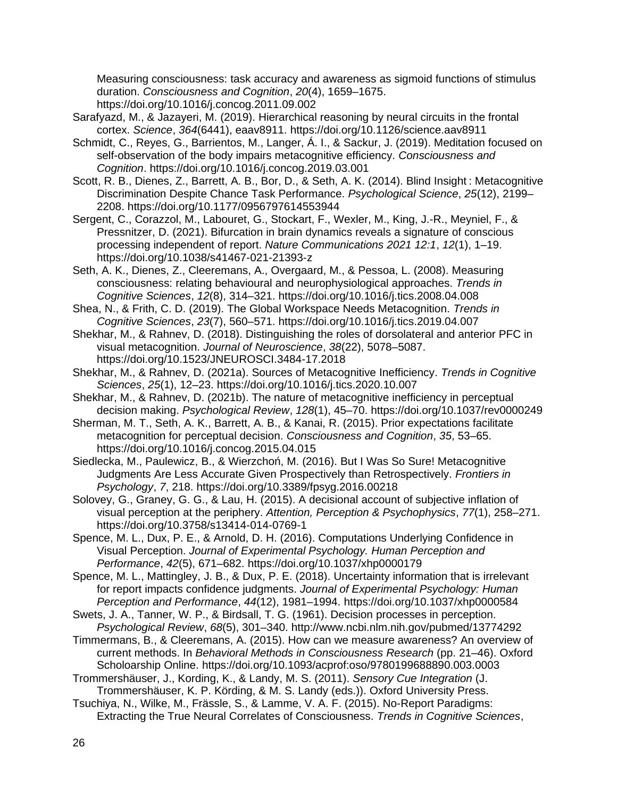Measuring consciousness: task accuracy and awareness as sigmoid functions of stimulus duration. *Consciousness and Cognition*, *20*(4), 1659–1675. https://doi.org/10.1016/j.concog.2011.09.002

- Sarafyazd, M., & Jazayeri, M. (2019). Hierarchical reasoning by neural circuits in the frontal cortex. *Science*, *364*(6441), eaav8911. https://doi.org/10.1126/science.aav8911
- Schmidt, C., Reyes, G., Barrientos, M., Langer, Á. I., & Sackur, J. (2019). Meditation focused on self-observation of the body impairs metacognitive efficiency. *Consciousness and Cognition*. https://doi.org/10.1016/j.concog.2019.03.001
- Scott, R. B., Dienes, Z., Barrett, A. B., Bor, D., & Seth, A. K. (2014). Blind Insight : Metacognitive Discrimination Despite Chance Task Performance. *Psychological Science*, *25*(12), 2199– 2208. https://doi.org/10.1177/0956797614553944
- Sergent, C., Corazzol, M., Labouret, G., Stockart, F., Wexler, M., King, J.-R., Meyniel, F., & Pressnitzer, D. (2021). Bifurcation in brain dynamics reveals a signature of conscious processing independent of report. *Nature Communications 2021 12:1*, *12*(1), 1–19. https://doi.org/10.1038/s41467-021-21393-z
- Seth, A. K., Dienes, Z., Cleeremans, A., Overgaard, M., & Pessoa, L. (2008). Measuring consciousness: relating behavioural and neurophysiological approaches. *Trends in Cognitive Sciences*, *12*(8), 314–321. https://doi.org/10.1016/j.tics.2008.04.008
- Shea, N., & Frith, C. D. (2019). The Global Workspace Needs Metacognition. *Trends in Cognitive Sciences*, *23*(7), 560–571. https://doi.org/10.1016/j.tics.2019.04.007
- Shekhar, M., & Rahnev, D. (2018). Distinguishing the roles of dorsolateral and anterior PFC in visual metacognition. *Journal of Neuroscience*, *38*(22), 5078–5087. https://doi.org/10.1523/JNEUROSCI.3484-17.2018
- Shekhar, M., & Rahnev, D. (2021a). Sources of Metacognitive Inefficiency. *Trends in Cognitive Sciences*, *25*(1), 12–23. https://doi.org/10.1016/j.tics.2020.10.007
- Shekhar, M., & Rahnev, D. (2021b). The nature of metacognitive inefficiency in perceptual decision making. *Psychological Review*, *128*(1), 45–70. https://doi.org/10.1037/rev0000249
- Sherman, M. T., Seth, A. K., Barrett, A. B., & Kanai, R. (2015). Prior expectations facilitate metacognition for perceptual decision. *Consciousness and Cognition*, *35*, 53–65. https://doi.org/10.1016/j.concog.2015.04.015
- Siedlecka, M., Paulewicz, B., & Wierzchoń, M. (2016). But I Was So Sure! Metacognitive Judgments Are Less Accurate Given Prospectively than Retrospectively. *Frontiers in Psychology*, *7*, 218. https://doi.org/10.3389/fpsyg.2016.00218
- Solovey, G., Graney, G. G., & Lau, H. (2015). A decisional account of subjective inflation of visual perception at the periphery. *Attention, Perception & Psychophysics*, *77*(1), 258–271. https://doi.org/10.3758/s13414-014-0769-1
- Spence, M. L., Dux, P. E., & Arnold, D. H. (2016). Computations Underlying Confidence in Visual Perception. *Journal of Experimental Psychology. Human Perception and Performance*, *42*(5), 671–682. https://doi.org/10.1037/xhp0000179
- Spence, M. L., Mattingley, J. B., & Dux, P. E. (2018). Uncertainty information that is irrelevant for report impacts confidence judgments. *Journal of Experimental Psychology: Human Perception and Performance*, *44*(12), 1981–1994. https://doi.org/10.1037/xhp0000584
- Swets, J. A., Tanner, W. P., & Birdsall, T. G. (1961). Decision processes in perception. *Psychological Review*, *68*(5), 301–340. http://www.ncbi.nlm.nih.gov/pubmed/13774292
- Timmermans, B., & Cleeremans, A. (2015). How can we measure awareness? An overview of current methods. In *Behavioral Methods in Consciousness Research* (pp. 21–46). Oxford Scholoarship Online. https://doi.org/10.1093/acprof:oso/9780199688890.003.0003
- Trommershäuser, J., Kording, K., & Landy, M. S. (2011). *Sensory Cue Integration* (J. Trommershäuser, K. P. Körding, & M. S. Landy (eds.)). Oxford University Press.
- Tsuchiya, N., Wilke, M., Frässle, S., & Lamme, V. A. F. (2015). No-Report Paradigms: Extracting the True Neural Correlates of Consciousness. *Trends in Cognitive Sciences*,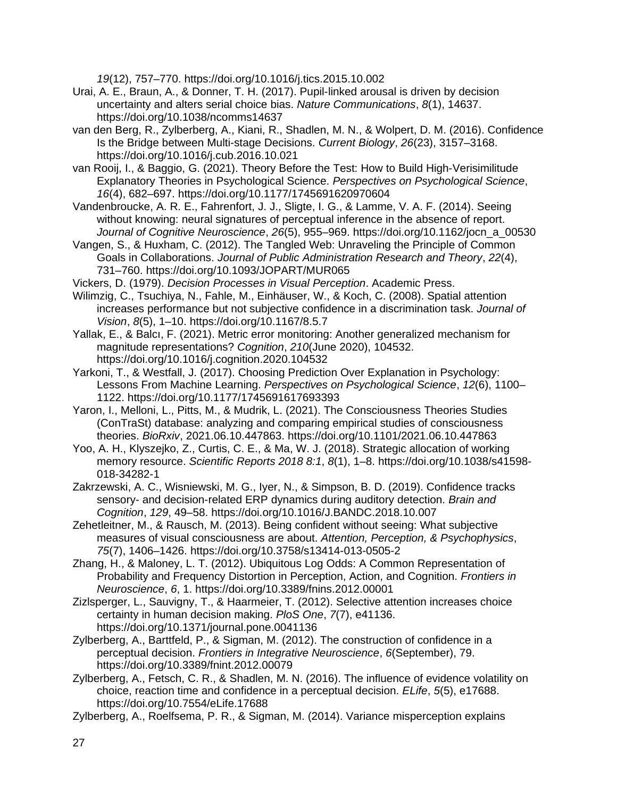*19*(12), 757–770. https://doi.org/10.1016/j.tics.2015.10.002

- Urai, A. E., Braun, A., & Donner, T. H. (2017). Pupil-linked arousal is driven by decision uncertainty and alters serial choice bias. *Nature Communications*, *8*(1), 14637. https://doi.org/10.1038/ncomms14637
- van den Berg, R., Zylberberg, A., Kiani, R., Shadlen, M. N., & Wolpert, D. M. (2016). Confidence Is the Bridge between Multi-stage Decisions. *Current Biology*, *26*(23), 3157–3168. https://doi.org/10.1016/j.cub.2016.10.021
- van Rooij, I., & Baggio, G. (2021). Theory Before the Test: How to Build High-Verisimilitude Explanatory Theories in Psychological Science. *Perspectives on Psychological Science*, *16*(4), 682–697. https://doi.org/10.1177/1745691620970604
- Vandenbroucke, A. R. E., Fahrenfort, J. J., Sligte, I. G., & Lamme, V. A. F. (2014). Seeing without knowing: neural signatures of perceptual inference in the absence of report. *Journal of Cognitive Neuroscience*, *26*(5), 955–969. https://doi.org/10.1162/jocn\_a\_00530
- Vangen, S., & Huxham, C. (2012). The Tangled Web: Unraveling the Principle of Common Goals in Collaborations. *Journal of Public Administration Research and Theory*, *22*(4), 731–760. https://doi.org/10.1093/JOPART/MUR065
- Vickers, D. (1979). *Decision Processes in Visual Perception*. Academic Press.
- Wilimzig, C., Tsuchiya, N., Fahle, M., Einhäuser, W., & Koch, C. (2008). Spatial attention increases performance but not subjective confidence in a discrimination task. *Journal of Vision*, *8*(5), 1–10. https://doi.org/10.1167/8.5.7
- Yallak, E., & Balcı, F. (2021). Metric error monitoring: Another generalized mechanism for magnitude representations? *Cognition*, *210*(June 2020), 104532. https://doi.org/10.1016/j.cognition.2020.104532
- Yarkoni, T., & Westfall, J. (2017). Choosing Prediction Over Explanation in Psychology: Lessons From Machine Learning. *Perspectives on Psychological Science*, *12*(6), 1100– 1122. https://doi.org/10.1177/1745691617693393
- Yaron, I., Melloni, L., Pitts, M., & Mudrik, L. (2021). The Consciousness Theories Studies (ConTraSt) database: analyzing and comparing empirical studies of consciousness theories. *BioRxiv*, 2021.06.10.447863. https://doi.org/10.1101/2021.06.10.447863
- Yoo, A. H., Klyszejko, Z., Curtis, C. E., & Ma, W. J. (2018). Strategic allocation of working memory resource. *Scientific Reports 2018 8:1*, *8*(1), 1–8. https://doi.org/10.1038/s41598- 018-34282-1
- Zakrzewski, A. C., Wisniewski, M. G., Iyer, N., & Simpson, B. D. (2019). Confidence tracks sensory- and decision-related ERP dynamics during auditory detection. *Brain and Cognition*, *129*, 49–58. https://doi.org/10.1016/J.BANDC.2018.10.007
- Zehetleitner, M., & Rausch, M. (2013). Being confident without seeing: What subjective measures of visual consciousness are about. *Attention, Perception, & Psychophysics*, *75*(7), 1406–1426. https://doi.org/10.3758/s13414-013-0505-2
- Zhang, H., & Maloney, L. T. (2012). Ubiquitous Log Odds: A Common Representation of Probability and Frequency Distortion in Perception, Action, and Cognition. *Frontiers in Neuroscience*, *6*, 1. https://doi.org/10.3389/fnins.2012.00001
- Zizlsperger, L., Sauvigny, T., & Haarmeier, T. (2012). Selective attention increases choice certainty in human decision making. *PloS One*, *7*(7), e41136. https://doi.org/10.1371/journal.pone.0041136
- Zylberberg, A., Barttfeld, P., & Sigman, M. (2012). The construction of confidence in a perceptual decision. *Frontiers in Integrative Neuroscience*, *6*(September), 79. https://doi.org/10.3389/fnint.2012.00079
- Zylberberg, A., Fetsch, C. R., & Shadlen, M. N. (2016). The influence of evidence volatility on choice, reaction time and confidence in a perceptual decision. *ELife*, *5*(5), e17688. https://doi.org/10.7554/eLife.17688
- Zylberberg, A., Roelfsema, P. R., & Sigman, M. (2014). Variance misperception explains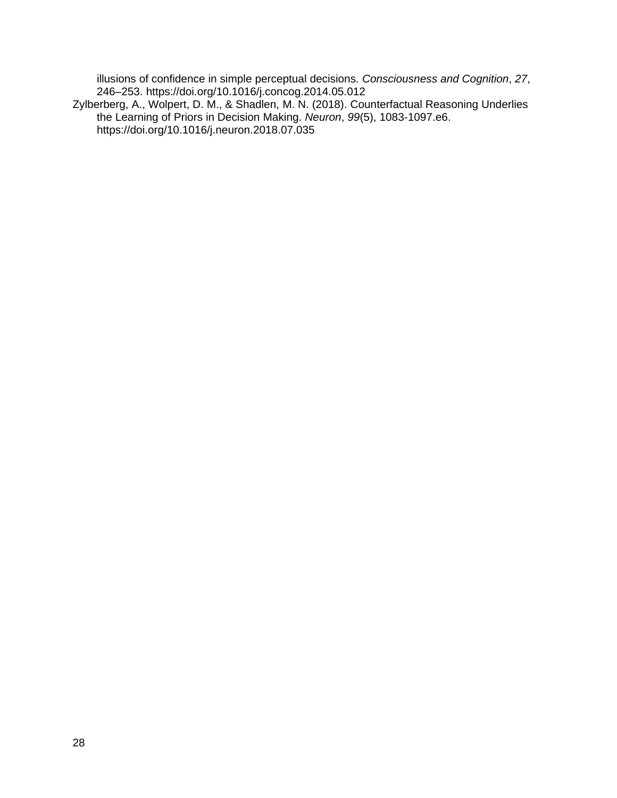illusions of confidence in simple perceptual decisions. *Consciousness and Cognition*, *27*, 246–253. https://doi.org/10.1016/j.concog.2014.05.012

Zylberberg, A., Wolpert, D. M., & Shadlen, M. N. (2018). Counterfactual Reasoning Underlies the Learning of Priors in Decision Making. *Neuron*, *99*(5), 1083-1097.e6. https://doi.org/10.1016/j.neuron.2018.07.035